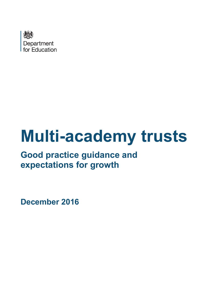

# **Multi-academy trusts**

# **Good practice guidance and expectations for growth**

**December 2016**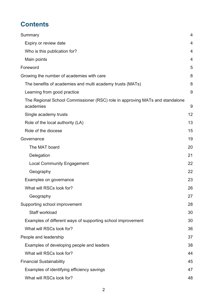# **Contents**

| Summary                                                                                   | 4  |
|-------------------------------------------------------------------------------------------|----|
| Expiry or review date                                                                     | 4  |
| Who is this publication for?                                                              | 4  |
| Main points                                                                               | 4  |
| Foreword                                                                                  | 5  |
| Growing the number of academies with care                                                 | 8  |
| The benefits of academies and multi academy trusts (MATs)                                 | 8  |
| Learning from good practice                                                               | 9  |
| The Regional School Commissioner (RSC) role in approving MATs and standalone<br>academies | 9  |
| Single academy trusts                                                                     | 12 |
| Role of the local authority (LA)                                                          | 13 |
| Role of the diocese                                                                       | 15 |
| Governance                                                                                | 19 |
| The MAT board                                                                             | 20 |
| Delegation                                                                                | 21 |
| <b>Local Community Engagement</b>                                                         | 22 |
| Geography                                                                                 | 22 |
| Examples on governance                                                                    | 23 |
| What will RSCs look for?                                                                  | 26 |
| Geography                                                                                 | 27 |
| Supporting school improvement                                                             | 28 |
| Staff workload                                                                            | 30 |
| Examples of different ways of supporting school improvement                               | 30 |
| What will RSCs look for?                                                                  | 36 |
| People and leadership                                                                     | 37 |
| Examples of developing people and leaders                                                 | 38 |
| What will RSCs look for?                                                                  | 44 |
| <b>Financial Sustainability</b>                                                           | 45 |
| Examples of identifying efficiency savings                                                | 47 |
| What will RSCs look for?                                                                  | 48 |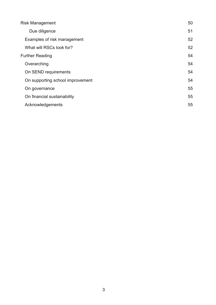| <b>Risk Management</b>           | 50 |
|----------------------------------|----|
| Due diligence                    | 51 |
| Examples of risk management      | 52 |
| What will RSCs look for?         | 52 |
| <b>Further Reading</b>           | 54 |
| Overarching                      | 54 |
| On SEND requirements             | 54 |
| On supporting school improvement | 54 |
| On governance                    | 55 |
| On financial sustainability      | 55 |
| Acknowledgements                 | 55 |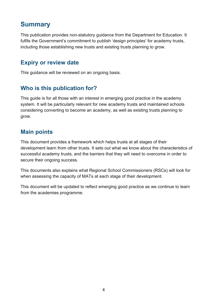# <span id="page-3-0"></span>**Summary**

This publication provides non-statutory guidance from the Department for Education. It fulfils the Government's commitment to publish 'design principles' for academy trusts, including those establishing new trusts and existing trusts planning to grow.

### <span id="page-3-1"></span>**Expiry or review date**

This guidance will be reviewed on an ongoing basis.

## <span id="page-3-2"></span>**Who is this publication for?**

This guide is for all those with an interest in emerging good practice in the academy system. It will be particularly relevant for new academy trusts and maintained schools considering converting to become an academy, as well as existing trusts planning to grow.

## <span id="page-3-3"></span>**Main points**

This document provides a framework which helps trusts at all stages of their development learn from other trusts. It sets out what we know about the characteristics of successful academy trusts, and the barriers that they will need to overcome in order to secure their ongoing success.

This documents also explains what Regional School Commissioners (RSCs) will look for when assessing the capacity of MATs at each stage of their development.

This document will be updated to reflect emerging good practice as we continue to learn from the academies programme.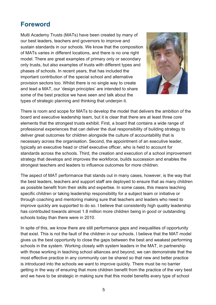## <span id="page-4-0"></span>**Foreword**

Multi Academy Trusts (MATs) have been created by many of our best leaders, teachers and governors to improve and sustain standards in our schools. We know that the composition of MATs varies in different locations, and there is no one right model. There are great examples of primary only or secondary only trusts, but also examples of trusts with different types and phases of schools. In recent years, that has included the important contribution of the special school and alternative provision sectors too. Whilst there is no single way to create and lead a MAT, our 'design principles' are intended to share some of the best practice we have seen and talk about the types of strategic planning and thinking that underpin it.



There is room and scope for MATs to develop the model that delivers the ambition of the board and executive leadership team, but it is clear that there are at least three core elements that the strongest trusts exhibit. First, a board that contains a wide range of professional experiences that can deliver the dual responsibility of building strategy to deliver great outcomes for children alongside the culture of accountability that is necessary across the organisation. Second, the appointment of an executive leader, typically an executive head or chief executive officer, who is held to account for standards across the schools. Third, the creation and execution of a school improvement strategy that develops and improves the workforce, builds succession and enables the strongest teachers and leaders to influence outcomes for more children.

The aspect of MAT performance that stands out in many cases, however, is the way that the best leaders, teachers and support staff are deployed to ensure that as many children as possible benefit from their skills and expertise. In some cases, this means teaching specific children or taking leadership responsibility for a subject team or initiative or through coaching and mentoring making sure that teachers and leaders who need to improve quickly are supported to do so. I believe that consistently high quality leadership has contributed towards almost 1.8 million more children being in good or outstanding schools today than there were in 2010.

In spite of this, we know there are still performance gaps and inequalities of opportunity that exist. This is not the fault of the children in our schools. I believe that the MAT model gives us the best opportunity to close the gaps between the best and weakest performing schools in the system. Working closely with system leaders in the MAT, in partnership with those working in teaching school alliances and beyond, we can demonstrate that the most effective practice in any community can be shared so that new and better practice is introduced into the schools we want to improve quickly. There must be no barrier getting in the way of ensuring that more children benefit from the practice of the very best and we have to be strategic in making sure that this model benefits every type of school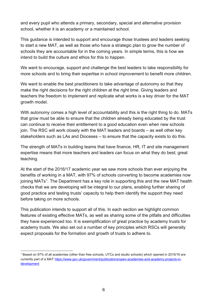and every pupil who attends a primary, secondary, special and alternative provision school, whether it is an academy or a maintained school.

This guidance is intended to support and encourage those trustees and leaders seeking to start a new MAT, as well as those who have a strategic plan to grow the number of schools they are accountable for in the coming years. In simple terms, this is how we intend to build the culture and ethos for this to happen.

We want to encourage, support and challenge the best leaders to take responsibility for more schools and to bring their expertise in school improvement to benefit more children.

We want to enable the best practitioners to take advantage of autonomy so that they make the right decisions for the right children at the right time. Giving leaders and teachers the freedom to implement and replicate what works is a key driver for the MAT growth model.

With autonomy comes a high level of accountability and this is the right thing to do. MATs that grow must be able to ensure that the children already being educated by the trust can continue to receive their entitlement to a good education even when new schools join. The RSC will work closely with the MAT leaders and boards – as well other key stakeholders such as LAs and Dioceses – to ensure that the capacity exists to do this.

The strength of MATs in building teams that have finance, HR, IT and site management expertise means that more teachers and leaders can focus on what they do best; great teaching.

At the start of the 2016/17 academic year we saw more schools than ever enjoying the benefits of working in a MAT, with 97% of schools converting to become academies now joining MATs<sup>[1](#page-5-0)</sup>. The Department has a key role in supporting this and the new MAT health checks that we are developing will be integral to our plans, enabling further sharing of good practice and testing trusts' capacity to help them identify the support they need before taking on more schools.

This publication intends to support all of this. In each section we highlight common features of existing effective MATs, as well as sharing some of the pitfalls and difficulties they have experienced too. It is exemplification of great practice by academy trusts for academy trusts. We also set out a number of key principles which RSCs will generally expect proposals for the formation and growth of trusts to adhere to.

<span id="page-5-0"></span><sup>1</sup> Based on 97% of all academies (other than free schools, UTCs and studio schools) which opened in 2015/16 are currently part of a MA[T https://www.gov.uk/government/publications/open-academies-and-academy-projects-in](https://www.gov.uk/government/publications/open-academies-and-academy-projects-in-development)[development](https://www.gov.uk/government/publications/open-academies-and-academy-projects-in-development)  $\overline{a}$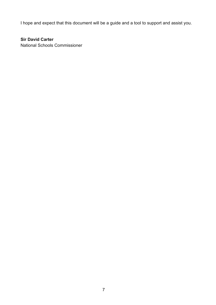I hope and expect that this document will be a guide and a tool to support and assist you.

#### **Sir David Carter**

National Schools Commissioner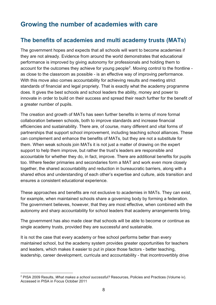# <span id="page-7-0"></span>**Growing the number of academies with care**

## <span id="page-7-1"></span>**The benefits of academies and multi academy trusts (MATs)**

The government hopes and expects that all schools will want to become academies if they are not already. Evidence from around the world demonstrates that educational performance is improved by giving autonomy for professionals and holding them to account for the outcomes they achieve for young people<sup>2</sup>. Moving control to the frontline as close to the classroom as possible - is an effective way of improving performance. With this move also comes accountability for achieving results and meeting strict standards of financial and legal propriety. That is exactly what the academy programme does. It gives the best schools and school leaders the ability, money and power to innovate in order to build on their success and spread their reach further for the benefit of a greater number of pupils.

The creation and growth of MATs has seen further benefits in terms of more formal collaboration between schools, both to improve standards and increase financial efficiencies and sustainability. There are, of course, many different and vital forms of partnerships that support school improvement, including teaching school alliances. These can complement and enhance the benefits of MATs, but they are not a substitute for them. When weak schools join MATs it is not just a matter of drawing on the expert support to help them improve, but rather the trust's leaders are responsible and accountable for whether they do, in fact, improve. There are additional benefits for pupils too. Where feeder primaries and secondaries form a MAT and work even more closely together, the shared accountability and reduction in bureaucratic barriers, along with a shared ethos and understanding of each other's expertise and culture, aids transition and ensures a consistent educational experience.

These approaches and benefits are not exclusive to academies in MATs. They can exist, for example, when maintained schools share a governing body by forming a federation. The government believes, however, that they are most effective, when combined with the autonomy and sharp accountability for school leaders that academy arrangements bring.

The government has also made clear that schools will be able to become or continue as single academy trusts, provided they are successful and sustainable.

It is not the case that every academy or free school performs better than every maintained school, but the academy system provides greater opportunities for teachers and leaders, which makes it easier to put in place those factors - better teaching, leadership, career development, curricula and accountability - that incontrovertibly drive

<span id="page-7-2"></span><sup>2</sup> PISA 2009 Results, *What makes a school successful?* Resources, Policies and Practices (Volume iv). Accessed in PISA in Focus October 2011  $\overline{a}$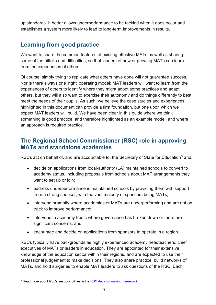up standards. It better allows underperformance to be tackled when it does occur and establishes a system more likely to lead to long-term improvements in results.

## <span id="page-8-0"></span>**Learning from good practice**

We want to share the common features of existing effective MATs as well as sharing some of the pitfalls and difficulties, so that leaders of new or growing MATs can learn from the experiences of others.

Of course, simply trying to replicate what others have done will not guarantee success. Nor is there always one 'right' operating model: MAT leaders will want to learn from the experiences of others to identify where they might adopt some practices and adapt others, but they will also want to exercise their autonomy and do things differently to best meet the needs of their pupils. As such, we believe the case studies and experiences highlighted in this document can provide a firm foundation, but one upon which we expect MAT leaders will build. We have been clear in this guide where we think something is good practice, and therefore highlighted as an example model, and where an approach is required practice.

## <span id="page-8-1"></span>**The Regional School Commissioner (RSC) role in approving MATs and standalone academies**

RSCs act on behalf of, and are accountable to, the Secretary of State for Education<sup>[3](#page-8-2)</sup> and:

- decide on applications from local-authority (LA) maintained schools to convert to academy status, including proposals from schools about MAT arrangements they want to set up or join;
- address underperformance in maintained schools by providing them with support from a strong sponsor, with the vast majority of sponsors being MATs;
- intervene promptly where academies or MATs are underperforming and are not on track to improve performance;
- intervene in academy trusts where governance has broken down or there are significant concerns; and
- encourage and decide on applications from sponsors to operate in a region.

RSCs typically have backgrounds as highly experienced academy headteachers, chief executives of MATs or leaders in education. They are appointed for their extensive knowledge of the education sector within their regions, and are expected to use their professional judgement to make decisions. They also share practice, build networks of MATs, and hold surgeries to enable MAT leaders to ask questions of the RSC. Each

<span id="page-8-2"></span><sup>&</sup>lt;sup>3</sup> Read more about RSCs' responsibilities in the [RSC decision making framework.](https://www.gov.uk/government/uploads/system/uploads/attachment_data/file/517565/RSC-Decision-Making-Framework.pdf)  $\overline{a}$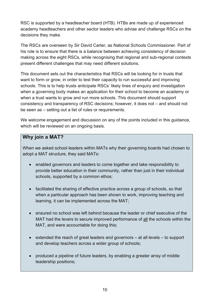RSC is supported by a headteacher board (HTB). HTBs are made up of experienced academy headteachers and other sector leaders who advise and challenge RSCs on the decisions they make.

The RSCs are overseen by Sir David Carter, as National Schools Commissioner. Part of his role is to ensure that there is a balance between achieving consistency of decision making across the eight RSCs, while recognising that regional and sub-regional contexts present different challenges that may need different solutions.

This document sets out the characteristics that RSCs will be looking for in trusts that want to form or grow, in order to test their capacity to run successful and improving schools. This is to help trusts anticipate RSCs' likely lines of enquiry and investigation when a governing body makes an application for their school to become an academy or when a trust wants to grow and run more schools. This document should support consistency and transparency of RSC decisions; however, it does not – and should not be seen as – setting out a list of rules or requirements.

We welcome engagement and discussion on any of the points included in this guidance, which will be reviewed on an ongoing basis.

#### **Why join a MAT?**

When we asked school leaders within MATs why their governing boards had chosen to adopt a MAT structure, they said MATs:

- enabled governors and leaders to come together and take responsibility to provide better education in their community, rather than just in their individual schools, supported by a common ethos;
- facilitated the sharing of effective practice across a group of schools, so that when a particular approach has been shown to work, improving teaching and learning, it can be implemented across the MAT;
- ensured no school was left behind because the leader or chief executive of the MAT had the levers to secure improved performance of all the schools within the MAT, and were accountable for doing this;
- extended the reach of great leaders and governors at all levels to support and develop teachers across a wider group of schools;
- produced a pipeline of future leaders, by enabling a greater array of middle leadership positions;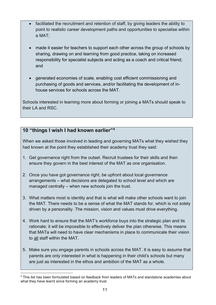- facilitated the recruitment and retention of staff, by giving leaders the ability to point to realistic career development paths and opportunities to specialise within a MAT;
- made it easier for teachers to support each other across the group of schools by sharing, drawing on and learning from good practice, taking on increased responsibility for specialist subjects and acting as a coach and critical friend; and
- generated economies of scale, enabling cost efficient commissioning and purchasing of goods and services, and/or facilitating the development of inhouse services for schools across the MAT.

Schools interested in learning more about forming or joining a MATs should speak to their LA and RSC.

#### **10 "things I wish I had known earlier"[4](#page-10-0)**

When we asked those involved in leading and governing MATs what they wished they had known at the point they established their academy trust they said:

- 1. Get governance right from the outset. Recruit trustees for their skills and then ensure they govern in the best interest of the MAT as one organisation.
- 2. Once you have got governance right, be upfront about local governance arrangements – what decisions are delegated to school level and which are managed centrally – when new schools join the trust.
- 3. What matters most is identity and that is what will make other schools want to join the MAT. There needs to be a sense of what the MAT stands for, which is not solely driven by a personality. The mission, vision and values must drive everything.
- 4. Work hard to ensure that the MAT's workforce buys into the strategic plan and its rationale; it will be impossible to effectively deliver the plan otherwise. This means that MATa will need to have clear mechanisms in place to communicate their vision to all staff within the MAT.
- 5. Make sure you engage parents in schools across the MAT. It is easy to assume that parents are only interested in what is happening in their child's schools but many are just as interested in the ethos and ambition of the MAT as a whole.

<span id="page-10-0"></span><sup>&</sup>lt;sup>4</sup> This list has been formulated based on feedback from leaders of MATs and standalone academies about what they have learnt since forming an academy trust.  $\overline{a}$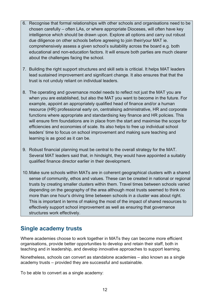- 6. Recognise that formal relationships with other schools and organisations need to be chosen carefully – often LAs, or where appropriate Dioceses, will often have key intelligence which should be drawn upon. Explore all options and carry out robust due diligence on other schools before agreeing to join their/your MAT ie. comprehensively assess a given school's suitability across the board e.g. both educational and non-education factors. It will ensure both parties are much clearer about the challenges facing the school.
- 7. Building the right support structures and skill sets is criticial. It helps MAT leaders lead sustained improvement and significant change. It also ensures that that the trust is not unduly reliant on individual leaders.
- 8. The operating and governance model needs to reflect not just the MAT you are when you are established, but also the MAT you want to become in the future. For example, appoint an appropriately qualified head of finance and/or a human resource (HR) professional early on, centralising administrative, HR and corporate functions where appropriate and standardising key finance and HR policies. This will ensure firm foundations are in place from the start and maximise the scope for efficiencies and economies of scale. Its also helps to free up individual school leaders' time to focus on school improvement and making sure teaching and learning is as good as it can be.
- 9. Robust financial planning must be central to the overall strategy for the MAT. Several MAT leaders said that, in hindsight, they would have appointed a suitably qualified finance director earlier in their development.
- 10.Make sure schools within MATs are in coherent geographical clusters with a shared sense of community, ethos and values. These can be created in national or regional trusts by creating smaller clusters within them. Travel times between schools varied depending on the geography of the area although most trusts seemed to think no more than one hour's driving time between schools in a cluster was about right. This is important in terms of making the most of the impact of shared resources to effectively support school improvement as well as ensuring that governance structures work effectively.

## <span id="page-11-0"></span>**Single academy trusts**

Where academies choose to work together in MATs they can become more efficient organisations, provide better opportunities to develop and retain their staff, both in teaching and in leadership, and develop innovative approaches to support learning.

Nonetheless, schools can convert as standalone academies – also known as a single academy trusts – provided they are successful and sustainable.

To be able to convert as a single academy: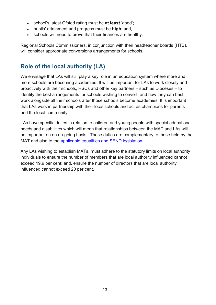- school's latest Ofsted rating must be **at least** 'good';
- pupils' attainment and progress must be **high**; and,
- schools will need to prove that their finances are healthy.

Regional Schools Commissioners, in conjunction with their headteacher boards (HTB), will consider appropriate conversions arrangements for schools.

## <span id="page-12-0"></span>**Role of the local authority (LA)**

We envisage that LAs will still play a key role in an education system where more and more schools are becoming academies. It will be important for LAs to work closely and proactively with their schools, RSCs and other key partners – such as Dioceses – to identify the best arrangements for schools wishing to convert, and how they can best work alongside all their schools after those schools become academies. It is important that LAs work in partnership with their local schools and act as champions for parents and the local community.

LAs have specific duties in relation to children and young people with special educational needs and disabilities which will mean that relationships between the MAT and LAs will be important on an on-going basis. These duties are complementary to those held by the MAT and also to the [applicable equalities and SEND legislation.](https://www.gov.uk/government/uploads/system/uploads/attachment_data/file/398815/SEND_Code_of_Practice_January_2015.pdf)

Any LAs wishing to establish MATs, must adhere to the statutory limits on local authority individuals to ensure the number of members that are local authority influenced cannot exceed 19.9 per cent: and, ensure the number of directors that are local authority influenced cannot exceed 20 per cent.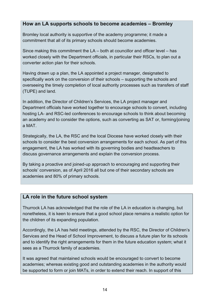#### **How an LA supports schools to become academies – Bromley**

Bromley local authority is supportive of the academy programme; it made a commitment that all of its primary schools should become academies.

Since making this commitment the LA – both at councillor and officer level – has worked closely with the Department officials, in particular their RSCs, to plan out a converter action plan for their schools.

Having drawn up a plan, the LA appointed a project manager, designated to specifically work on the conversion of their schools – supporting the schools and overseeing the timely completion of local authority processes such as transfers of staff (TUPE) and land.

In addition, the Director of Children's Services, the LA project manager and Department officials have worked together to encourage schools to convert, including hosting LA- and RSC-led conferences to encourage schools to think about becoming an academy and to consider the options, such as converting as SAT or, forming/joining a MAT.

Strategically, the LA, the RSC and the local Diocese have worked closely with their schools to consider the best conversion arrangements for each school. As part of this engagement, the LA has worked with its governing bodies and headteachers to discuss governance arrangements and explain the conversion process.

By taking a proactive and joined-up approach to encouraging and supporting their schools' conversion, as of April 2016 all but one of their secondary schools are academies and 80% of primary schools.

#### **LA role in the future school system**

Thurrock LA has acknowledged that the role of the LA in education is changing, but nonetheless, it is keen to ensure that a good school place remains a realistic option for the children of its expanding population.

Accordingly, the LA has held meetings, attended by the RSC, the Director of Children's Services and the Head of School Improvement, to discuss a future plan for its schools and to identify the right arrangements for them in the future education system; what it sees as a Thurrock family of academies.

It was agreed that maintained schools would be encouraged to convert to become academies; whereas existing good and outstanding academies in the authority would be supported to form or join MATs, in order to extend their reach. In support of this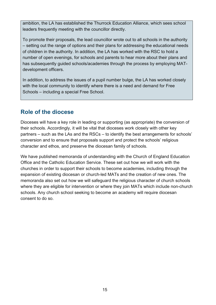ambition, the LA has established the Thurrock Education Alliance, which sees school leaders frequently meeting with the councillor directly.

To promote their proposals, the lead councillor wrote out to all schools in the authority – setting out the range of options and their plans for addressing the educational needs of children in the authority. In addition, the LA has worked with the RSC to hold a number of open evenings, for schools and parents to hear more about their plans and has subsequently guided schools/academies through the process by employing MATdevelopment officers.

In addition, to address the issues of a pupil number bulge, the LA has worked closely with the local community to identify where there is a need and demand for Free Schools – including a special Free School.

## <span id="page-14-0"></span>**Role of the diocese**

Dioceses will have a key role in leading or supporting (as appropriate) the conversion of their schools. Accordingly, it will be vital that dioceses work closely with other key partners – such as the LAs and the RSCs – to identify the best arrangements for schools' conversion and to ensure that proposals support and protect the schools' religious character and ethos, and preserve the diocesan family of schools.

We have published memoranda of understanding with the Church of England Education Office and the Catholic Education Service. These set out how we will work with the churches in order to support their schools to become academies, including through the expansion of existing diocesan or church-led MATs and the creation of new ones. The memoranda also set out how we will safeguard the religious character of church schools where they are eligible for intervention or where they join MATs which include non-church schools. Any church school seeking to become an academy will require diocesan consent to do so.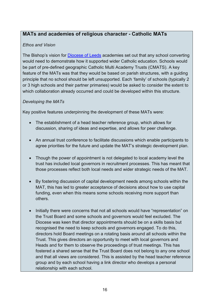#### **MATs and academies of religious character - Catholic MATs**

#### *Ethos and Vision*

The Bishop's vision for [Diocese of Leeds](http://www.dioceseofleeds.org.uk/education/) academies set out that any school converting would need to demonstrate how it supported wider Catholic education. Schools would be part of pre-defined geographic Catholic Multi Academy Trusts (CMATS). A key feature of the MATs was that they would be based on parish structures, with a guiding principle that no school should be left unsupported. Each 'family' of schools (typically 2 or 3 high schools and their partner primaries) would be asked to consider the extent to which collaboration already occurred and could be developed within this structure.

#### *Developing the MATs*

Key positive features underpinning the development of these MATs were:

- The establishment of a head teacher reference group, which allows for discussion, sharing of ideas and expertise, and allows for peer challenge.
- An annual trust conference to facilitate discussions which enable participants to agree priorities for the future and update the MAT's strategic development plan.
- Though the power of appointment is not delegated to local academy level the trust has included local governors in recruitment processes. This has meant that those processes reflect both local needs and wider strategic needs of the MAT.
- By fostering discussion of capital development needs among schools within the MAT, this has led to greater acceptance of decisions about how to use capital funding, even when this means some schools receiving more support than others.
- Initially there were concerns that not all schools would have "representation" on the Trust Board and some schools and governors would feel excluded. The Diocese was keen that director appointments should be on a skills basis but recognised the need to keep schools and governors engaged. To do this, directors hold Board meetings on a rotating basis around all schools within the Trust. This gives directors an opportunity to meet with local governors and Heads and for them to observe the proceedings of trust meetings. This has fostered a shared sense that the Trust Board does not belong to any one school and that all views are considered. This is assisted by the head teacher reference group and by each school having a link director who develops a personal relationship with each school.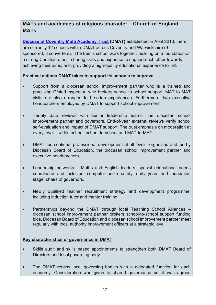#### **MATs and academies of religious character – Church of England MATs**

**[Diocese of Coventry Multi Academy Trust](http://www.covmat.org/) (DMAT)** established in April 2013, there are currently 12 schools within DMAT across Coventry and Warwickshire (9 sponsored, 3 converters). The trust's school work together: building on a foundation of a strong Christian ethos; sharing skills and expertise to support each other towards achieving their aims; and, providing a high-quality educational experience for all.

#### **Practical actions DMAT takes to support its schools to improve**

- Support from a diocesan school improvement partner who is a trained and practising Ofsted inspector, who brokers school to school support. MAT to MAT visits are also arranged to broaden experiences. Furthermore, two executive headteachers employed by DMAT to support school improvement.
- Termly data reviews with senior leadership teams, the diocesan school improvement partner and governors. End-of-year external reviews verify school self-evaluation and impact of DMAT support. The trust emphasis on moderation at every level – within school, school-to-school and MAT-to-MAT
- DMAT-led continual professional development at all levels, organised and led by Diocesan Board of Education, the diocesan school improvement partner and executive headteachers.
- Leadership networks Maths and English leaders; special educational needs coordinator and inclusion; computer and e-safety; early years and foundation stage; chairs of governors.
- Newly qualified teacher recruitment strategy and development programme, including induction tutor and mentor training.
- Partnerships beyond the DMAT through local Teaching School Alliances diocesan school improvement partner brokers school-to-school support funding bids. Diocesan Board of Education and diocesan school improvement partner meet regularly with local authority improvement officers at a strategic level.

#### **Key characteristics of governance in DMAT**

- Skills audit and skills based appointments to strengthen both DMAT Board of Directors and local governing body.
- The DMAT retains local governing bodies with a delegated function for each academy. Consideration was given to shared governance but it was agreed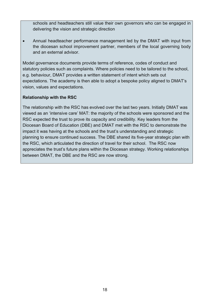schools and headteachers still value their own governors who can be engaged in delivering the vision and strategic direction

• Annual headteacher performance management led by the DMAT with input from the diocesan school improvement partner, members of the local governing body and an external advisor.

Model governance documents provide terms of reference, codes of conduct and statutory policies such as complaints. Where policies need to be tailored to the school, e.g. behaviour, DMAT provides a written statement of intent which sets out expectations. The academy is then able to adopt a bespoke policy aligned to DMAT's vision, values and expectations.

#### **Relationship with the RSC**

The relationship with the RSC has evolved over the last two years. Initially DMAT was viewed as an 'intensive care' MAT: the majority of the schools were sponsored and the RSC expected the trust to prove its capacity and credibility. Key leaders from the Diocesan Board of Education (DBE) and DMAT met with the RSC to demonstrate the impact it was having at the schools and the trust's understanding and strategic planning to ensure continued success. The DBE shared its five-year strategic plan with the RSC, which articulated the direction of travel for their school. The RSC now appreciates the trust's future plans within the Diocesan strategy. Working relationships between DMAT, the DBE and the RSC are now strong.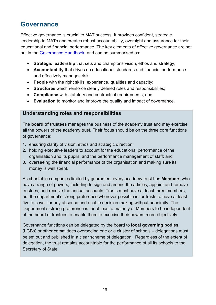## <span id="page-18-0"></span>**Governance**

Effective governance is crucial to MAT success. It provides confident, strategic leadership to MATs and creates robust accountability, oversight and assurance for their educational and financial performance. The key elements of effective governance are set out in the [Governance Handbook,](http://workplaces/sites/sr/a/Lists/WorkplaceDocuments/Policy/MAT%20Design%20Principles/Document%20iterations/Effective%20governance) and can be summarised as:

- **Strategic leadership** that sets and champions vision, ethos and strategy;
- **Accountability** that drives up educational standards and financial performance and effectively manages risk;
- **People** with the right skills, experience, qualities and capacity;
- **Structures** which reinforce clearly defined roles and responsibilities;
- **Compliance** with statutory and contractual requirements; and
- **Evaluation** to monitor and improve the quality and impact of governance.

#### **Understanding roles and responsibilities**

The **board of trustees** manages the business of the academy trust and may exercise all the powers of the academy trust. Their focus should be on the three core functions of governance:

- 1. ensuring clarity of vision, ethos and strategic direction;
- 2. holding executive leaders to account for the educational performance of the organisation and its pupils, and the performance management of staff; and
- 3. overseeing the financial performance of the organisation and making sure its money is well spent.

As charitable companies limited by guarantee, every academy trust has **Members** who have a range of powers, including to sign and amend the articles, appoint and remove trustees, and receive the annual accounts. Trusts must have at least three members, but the department's strong preference wherever possible is for trusts to have at least five to cover for any absence and enable decision making without unanimity. The Department's strong preference is for at least a majority of Members to be independent of the board of trustees to enable them to exercise their powers more objectively.

Governance functions can be delegated by the board to **local governing bodies** (LGBs) or other committees overseeing one or a cluster of schools – delegations must be set out and published in a clear scheme of delegation. Regardless of the extent of delegation, the trust remains accountable for the performance of all its schools to the Secretary of State.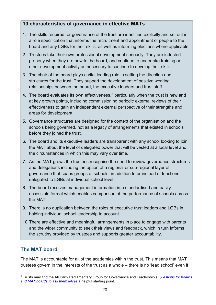#### **10 characteristics of governance in effective MATs**

- 1. The skills required for governance of the trust are identified explicitly and set out in a role specification that informs the recruitment and appointment of people to the board and any LGBs for their skills, as well as informing elections where applicable.
- 2. Trustees take their own professional development seriously. They are inducted properly when they are new to the board, and continue to undertake training or other development activity as necessary to continue to develop their skills.
- 3. The chair of the board plays a vital leading role in setting the direction and structures for the trust. They support the development of positive working relationships between the board, the executive leaders and trust staff.
- 4. The board evaluates its own effectiveness, [5](#page-19-1) particularly when the trust is new and at key growth points, including commissioning periodic external reviews of their effectiveness to gain an independent external perspective of their strengths and areas for development.
- 5. Governance structures are designed for the context of the organisation and the schools being governed, not as a legacy of arrangements that existed in schools before they joined the trust.
- 6. The board and its executive leaders are transparent with any school looking to join the MAT about the level of delegated power that will be vested at a local level and the circumstances in which this may vary over time.
- 7. As the MAT grows the trustees recognise the need to review governance structures and delegations including the option of a regional or sub-regional layer of governance that spans groups of schools, in addition to or instead of functions delegated to LGBs at individual school level.
- 8. The board receives management information in a standardised and easily accessible format which enables comparison of the performance of schools across the MAT.
- 9. There is no duplication between the roles of executive trust leaders and LGBs in holding individual school leadership to account.
- 10.There are effective and meaningful arrangements in place to engage with parents and the wider community to seek their views and feedback, which in turn informs the scrutiny provided by trustees and supports greater accountability.

## <span id="page-19-0"></span>**The MAT board**

The MAT is accountable for all of the academies within the trust. This means that MAT trustees govern in the interests of the trust as a whole – there is no 'lead school' even if

<span id="page-19-1"></span><sup>5</sup> Trusts may find the All Party Parliamentary Group for Governance and Leadership's *[Questions for boards](http://www.nga.org.uk/getattachment/Guidance/Workings-Of-The-Governing-Body/Governance-Tools/Twenty-Questions/Twenty-questions-second-edition-2015.pdf)  and MAT boards [to ask themselves](http://www.nga.org.uk/getattachment/Guidance/Workings-Of-The-Governing-Body/Governance-Tools/Twenty-Questions/Twenty-questions-second-edition-2015.pdf)* a helpful starting point.  $\overline{a}$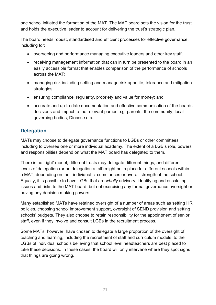one school initiated the formation of the MAT. The MAT board sets the vision for the trust and holds the executive leader to account for delivering the trust's strategic plan.

The board needs robust, standardised and efficient processes for effective governance, including for:

- overseeing and performance managing executive leaders and other key staff;
- receiving management information that can in turn be presented to the board in an easily accessible format that enables comparison of the performance of schools across the MAT;
- managing risk including setting and manage risk appetite, tolerance and mitigation strategies;
- ensuring compliance, regularity, propriety and value for money; and
- accurate and up-to-date documentation and effective communication of the boards decisions and impact to the relevant parties e.g. parents, the community, local governing bodies, Diocese etc.

#### <span id="page-20-0"></span>**Delegation**

MATs may choose to delegate governance functions to LGBs or other committees including to oversee one or more individual academy. The extent of a LGB's role, powers and responsibilities depend on what the MAT board has delegated to them.

There is no 'right' model; different trusts may delegate different things, and different levels of delegation (or no delegation at all) might be in place for different schools within a MAT, depending on their individual circumstances or overall strength of the school. Equally, it is possible to have LGBs that are *wholly* advisory, identifying and escalating issues and risks to the MAT board, but not exercising any formal governance oversight or having any decision making powers.

Many established MATs have retained oversight of a number of areas such as setting HR policies, choosing school improvement support, oversight of SEND provision and setting schools' budgets. They also choose to retain responsibility for the appointment of senior staff, even if they involve and consult LGBs in the recruitment process.

Some MATs, however, have chosen to delegate a large proportion of the oversight of teaching and learning, including the recruitment of staff and curriculum models, to the LGBs of individual schools believing that school level headteachers are best placed to take these decisions. In these cases, the board will only intervene where they spot signs that things are going wrong.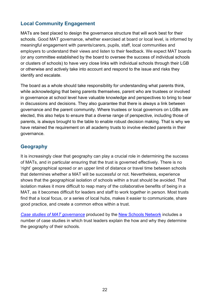#### <span id="page-21-0"></span>**Local Community Engagement**

MATs are best placed to design the governance structure that will work best for their schools. Good MAT governance, whether exercised at board or local level, is informed by meaningful engagement with parents/carers, pupils, staff, local communities and employers to understand their views and listen to their feedback. We expect MAT boards (or any committee established by the board to oversee the success of individual schools or clusters of schools) to have very close links with individual schools through their LGB or otherwise and actively take into account and respond to the issue and risks they identify and escalate.

The board as a whole should take responsibility for understanding what parents think, while acknowledging that being parents themselves, parent who are trustees or involved in governance at school level have valuable knowledge and perspectives to bring to bear in discussions and decisions. They also guarantee that there is always a link between governance and the parent community. Where trustees or local governors on LGBs are elected, this also helps to ensure that a diverse range of perspective, including those of parents, is always brought to the table to enable robust decision making. That is why we have retained the requirement on all academy trusts to involve elected parents in their governance.

#### <span id="page-21-1"></span>**Geography**

It is increasingly clear that geography can play a crucial role in determining the success of MATs, and in particular ensuring that the trust is governed effectively. There is no 'right' geographical spread or an upper limit of distance or travel time between schools that determines whether a MAT will be successful or not. Nevertheless, experience shows that the geographical isolation of schools within a trust should be avoided. That isolation makes it more difficult to reap many of the collaborative benefits of being in a MAT, as it becomes difficult for leaders and staff to work together in person. Most trusts find that a local focus, or a series of local hubs, makes it easier to communicate, share good practice, and create a common ethos within a trust.

**[Case studies of MAT governance](http://www.newschoolsnetwork.org/multi-academy-trust-case-studies)** produced by the **New Schools Network** includes a number of case studies in which trust leaders explain the how and why they determine the geography of their schools.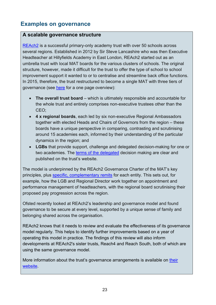## <span id="page-22-0"></span>**Examples on governance**

#### **A scalable governance structure**

[REAch2](http://reach2.org/) is a successful primary-only academy trust with over 50 schools across several regions. Established in 2012 by Sir Steve Lancashire who was then Executive Headteacher at Hillyfields Academy in East London, REAch2 started out as an umbrella trust with local MAT boards for the various clusters of schools. The original structure, however, made it difficult for the trust to offer the type of school to school improvement support it wanted to or to centralise and streamline back office functions. In 2015, therefore, the trust restructured to become a single MAT with three tiers of governance (see [here](http://reach2.org/wp-content/uploads/2016/02/REAch2-governance-on-one-page.pdf) for a one page overview):

- **The overall trust board** which is ultimately responsible and accountable for the whole trust and entirely comprises non-executive trustees other than the CEO;
- **4 x regional boards**, each led by six non-executive Regional Ambassadors together with elected Heads and Chairs of Governors from the region – these boards have a unique perspective in comparing, contrasting and scrutinising around 15 academies each, informed by their understanding of the particular dynamics in the region; and
- **LGBs** that provide support, challenge and delegated decision-making for one or two academies. The [terms of the delegated](http://reach2.org/wp-content/uploads/2016/02/Local-Governing-Bodies.pdf) decision making are clear and published on the trust's website.

The model is underpinned by the REAch2 Governance Charter of the MAT's key principles, plus [specific, complementary remits](http://reach2.org/wp-content/uploads/2016/02/Roles-and-functions-overview.pdf) for each entity. This sets out, for example, how the LGB and Regional Director work together on appointment and performance management of headteachers, with the regional board scrutinising their proposed pay progression across the region.

Ofsted recently looked at REAch2's leadership and governance model and found governance to be secure at every level, supported by a unique sense of family and belonging shared across the organisation.

REAch2 knows that it needs to review and evaluate the effectiveness of its governance model regularly. This helps to identify further improvements based on a year of operating this model in practice. The findings of this review will also inform developments at REAch2's sister trusts, Reach4 and Reach South, both of which are using the same governance model.

More information about the trust's governance arrangements is available on [their](http://reach2.org/governance-policy/governance/)  [website.](http://reach2.org/governance-policy/governance/)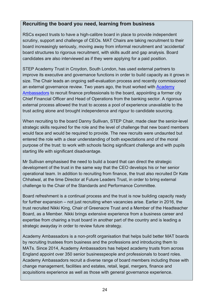#### **Recruiting the board you need, learning from business**

RSCs expect trusts to have a high-calibre board in place to provide independent scrutiny, support and challenge of CEOs. MAT Chairs are taking recruitment to their board increasingly seriously, moving away from informal recruitment and 'accidental' board structures to rigorous recruitment, with skills audit and gap analysis. Board candidates are also interviewed as if they were applying for a paid position.

STEP Academy Trust in Croydon, South London, has used external partners to improve its executive and governance functions in order to build capacity as it grows in size. The Chair leads an ongoing self-evaluation process and recently commissioned an external governance review. Two years ago, the trust worked with [Academy](http://www.academyambassadors.org/)  [Ambassadors](http://www.academyambassadors.org/) to recruit finance professionals to the board, appointing a former city Chief Financial Officer and Head of Operations from the banking sector. A rigorous external process allowed the trust to access a pool of experience unavailable to the trust acting alone and brought independence and rigour to candidate sourcing.

When recruiting to the board Danny Sullivan, STEP Chair, made clear the senior-level strategic skills required for the role and the level of challenge that new board members would face and would be required to provide. The new recruits were undaunted but entered the role with a clear understanding of both expectations and of the moral purpose of the trust: to work with schools facing significant challenge and with pupils starting life with significant disadvantage.

Mr Sullivan emphasised the need to build a board that can direct the strategic development of the trust in the same way that the CEO develops his or her senior operational team. In addition to recruiting from finance, the trust also recruited Dr Kate Chhatwal, at the time Director at Future Leaders Trust, in order to bring external challenge to the Chair of the Standards and Performance Committee.

Board refreshment is a continual process and the trust is now building capacity ready for further expansion – not just recruiting when vacancies arise. Earlier in 2016, the trust recruited Nikki King, Chair of Greenacre Trust and a Member of the Headteacher Board, as a Member. Nikki brings extensive experience from a business career and expertise from chairing a trust board in another part of the country and is leading a strategic awayday in order to review future strategy.

Academy Ambassadors is a non-profit organisation that helps build better MAT boards by recruiting trustees from business and the professions and introducing them to MATs. Since 2014, Academy Ambassadors has helped academy trusts from across England appoint over 350 senior businesspeople and professionals to board roles. Academy Ambassadors recruit a diverse range of board members including those with change management, facilities and estates, retail, legal, mergers, finance and acquisitions experience as well as those with general governance experience.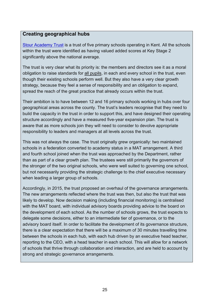#### **Creating geographical hubs**

[Stour Academy Trust](http://www.stouracademytrust.org.uk/) is a trust of five primary schools operating in Kent. All the schools within the trust were identified as having valued added scores at Key Stage 2 significantly above the national average.

The trust is very clear what its priority is: the members and directors see it as a moral obligation to raise standards for all pupils, in each and every school in the trust, even though their existing schools perform well. But they also have a very clear growth strategy, because they feel a sense of responsibility and an obligation to expand, spread the reach of the great practice that already occurs within the trust.

Their ambition is to have between 12 and 16 primary schools working in hubs over four geographical areas across the county. The trust's leaders recognise that they need to build the capacity in the trust in order to support this, and have designed their operating structure accordingly and have a measured five-year expansion plan. The trust is aware that as more schools join they will need to consider to devolve appropriate responsibility to leaders and managers at all levels across the trust.

This was not always the case. The trust originally grew organically: two maintained schools in a federation converted to academy status in a MAT arrangement. A third and fourth school joined when the trust was approached by the Department, rather than as part of a clear growth plan. The trustees were still primarily the governors of the stronger of the two original schools, who were well suited to governing one school, but not necessarily providing the strategic challenge to the chief executive necessary when leading a larger group of schools.

Accordingly, in 2015, the trust proposed an overhaul of the governance arrangements. The new arrangements reflected where the trust was then, but also the trust that was likely to develop. Now decision making (including financial monitoring) is centralised with the MAT board, with individual advisory boards providing advice to the board on the development of each school. As the number of schools grows, the trust expects to delegate some decisions, either to an intermediate tier of governance, or to the advisory board itself. In order to facilitate the development of its governance structure, there is a clear expectation that there will be a maximum of 30 minutes travelling time between the schools in each hub, with each hub driven by an executive head teacher, reporting to the CEO, with a head teacher in each school. This will allow for a network of schools that thrive through collaboration and interaction, and are held to account by strong and strategic governance arrangements.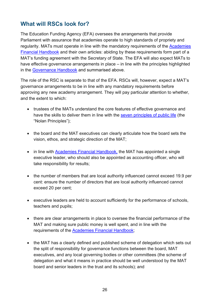## <span id="page-25-0"></span>**What will RSCs look for?**

The Education Funding Agency (EFA) oversees the arrangements that provide Parliament with assurance that academies operate to high standards of propriety and regularity. MATs must operate in line with the mandatory requirements of the [Academies](https://www.gov.uk/government/publications/academies-financial-handbook)  [Financial Handbook](https://www.gov.uk/government/publications/academies-financial-handbook) and their own articles: abiding by these requirements form part of a MAT's funding agreement with the Secretary of State. The EFA will also expect MATs to have effective governance arrangements in place – in line with the principles highlighted in the [Governance Handbook](https://www.gov.uk/government/publications/governance-handbook) and summarised above.

The role of the RSC is separate to that of the EFA. RSCs will, however, expect a MAT's governance arrangements to be in line with any mandatory requirements before approving any new academy arrangement. They will pay particular attention to whether, and the extent to which:

- trustees of the MATs understand the core features of effective governance and have the skills to deliver them in line with the [seven principles of public life](https://www.gov.uk/government/publications/the-7-principles-of-public-life) (the "Nolan Principles");
- the board and the MAT executives can clearly articulate how the board sets the vision, ethos, and strategic direction of the MAT;
- in line with [Academies Financial Handbook,](https://www.gov.uk/government/publications/academies-financial-handbook) the MAT has appointed a single executive leader, who should also be appointed as accounting officer, who will take responsibility for results;
- the number of members that are local authority influenced cannot exceed 19.9 per cent: ensure the number of directors that are local authority influenced cannot exceed 20 per cent;
- executive leaders are held to account sufficiently for the performance of schools, teachers and pupils;
- there are clear arrangements in place to oversee the financial performance of the MAT and making sure public money is well spent, and in line with the requirements of the [Academies Financial Handbook;](https://www.gov.uk/government/publications/academies-financial-handbook)
- the MAT has a clearly defined and published scheme of delegation which sets out the split of responsibility for governance functions between the board, MAT executives, and any local governing bodies or other committees (the scheme of delegation and what it means in practice should be well understood by the MAT board and senior leaders in the trust and its schools); and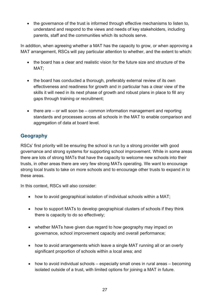• the governance of the trust is informed through effective mechanisms to listen to, understand and respond to the views and needs of key stakeholders, including parents, staff and the communities which its schools serve.

In addition, when agreeing whether a MAT has the capacity to grow, or when approving a MAT arrangement, RSCs will pay particular attention to whether, and the extent to which:

- the board has a clear and realistic vision for the future size and structure of the MAT;
- the board has conducted a thorough, preferably external review of its own effectiveness and readiness for growth and in particular has a clear view of the skills it will need in its next phase of growth and robust plans in place to fill any gaps through training or recruitment;
- there are or will soon be common information management and reporting standards and processes across all schools in the MAT to enable comparison and aggregation of data at board level.

#### <span id="page-26-0"></span>**Geography**

RSCs' first priority will be ensuring the school is run by a strong provider with good governance and strong systems for supporting school improvement. While in some areas there are lots of strong MATs that have the capacity to welcome new schools into their trusts, in other areas there are very few strong MATs operating. We want to encourage strong local trusts to take on more schools and to encourage other trusts to expand in to these areas.

In this context, RSCs will also consider:

- how to avoid geographical isolation of individual schools within a MAT;
- how to support MATs to develop geographical clusters of schools if they think there is capacity to do so effectively;
- whether MATs have given due regard to how geography may impact on governance, school improvement capacity and overall performance;
- how to avoid arrangements which leave a single MAT running all or an overly significant proportion of schools within a local area; and
- how to avoid individual schools especially small ones in rural areas becoming isolated outside of a trust, with limited options for joining a MAT in future.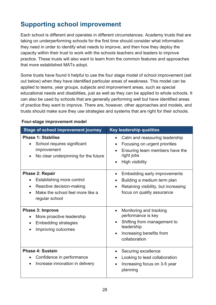# <span id="page-27-0"></span>**Supporting school improvement**

Each school is different and operates in different circumstances. Academy trusts that are taking on underperforming schools for the first time should consider what information they need in order to identify what needs to improve, and then how they deploy the capacity within their trust to work with the schools teachers and leaders to improve practice. These trusts will also want to learn from the common features and approaches that more established MATs adopt.

Some trusts have found it helpful to use the four stage model of school improvement (set out below) when they have identified particular areas of weakness. This model can be applied to teams, year groups, subjects and improvement areas, such as special educational needs and disabilities, just as well as they can be applied to whole schools. It can also be used by schools that are generally performing well but have identified areas of practice they want to improve. There are, however, other approaches and models, and trusts should make sure they use strategies and systems that are right for their schools.

| <b>Stage of school improvement journey</b>                                                                                                         | <b>Key leadership qualities</b>                                                                                                                                     |
|----------------------------------------------------------------------------------------------------------------------------------------------------|---------------------------------------------------------------------------------------------------------------------------------------------------------------------|
| <b>Phase 1: Stabilise</b><br>School requires significant<br>$\bullet$<br>improvement<br>No clear underpinning for the future<br>$\bullet$          | Calm and reassuring leadership<br>Focusing on urgent priorities<br>$\bullet$<br>Ensuring team members have the<br>$\bullet$<br>right jobs<br><b>High visibility</b> |
| <b>Phase 2: Repair</b><br>Establishing more control<br>Reactive decision-making<br>$\bullet$<br>Make the school feel more like a<br>regular school | Embedding early improvements<br>$\bullet$<br>Building a medium term plan<br>Retaining visibility, but increasing<br>$\bullet$<br>focus on quality assurance         |
| <b>Phase 3: Improve</b><br>More proactive leadership<br>$\bullet$<br><b>Embedding strategies</b><br>$\bullet$<br>Improving outcomes                | Monitoring and tracking<br>$\bullet$<br>performance is key<br>Shifting from management to<br>leadership<br>Increasing benefits from<br>collaboration                |
| <b>Phase 4: Sustain</b><br>Confidence in performance<br>$\bullet$<br>Increase innovation in delivery                                               | Securing excellence<br>$\bullet$<br>Looking to lead collaboration<br>Increasing focus on 3-5 year<br>planning                                                       |

#### **Four-stage improvement model**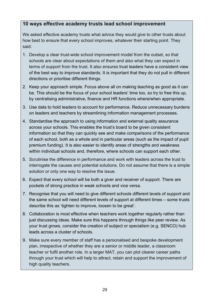#### **10 ways effective academy trusts lead school improvement**

We asked effective academy trusts what advice they would give to other trusts about how best to ensure that every school improves, whatever their starting point. They said:

- 1. Develop a clear trust-wide school improvement model from the outset, so that schools are clear about expectations of them and also what they can expect in terms of support from the trust. It also ensures trust leaders have a consistent view of the best way to improve standards. It is important that they do not pull in different directions or prioritise different things.
- 2. Keep your approach simple. Focus above all on making teaching as good as it can be. This should be the focus of your school leaders' time too, so try to free this up, by centralising administrative, finance and HR functions where/when appropriate.
- 3. Use data to hold leaders to account for performance. Reduce unnecessary burdens on leaders and teachers by streamlining information management processes.
- 4. Standardise the approach to using information and external quality assurance across your schools. This enables the trust's board to be given consistent information so that they can quickly see and make comparisons of the performance of each school, both as a whole and in particular areas (such as the impact of pupil premium funding). It is also easier to identify areas of strengths and weakness within individual schools and, therefore, where schools can support each other.
- 5. Scrutinise the difference in performance and work with leaders across the trust to interrogate the causes and potential solutions. Do not assume that there is a simple solution or only one way to resolve the issue.
- 6. Expect that every school will be both a giver and receiver of support. There are pockets of strong practice in weak schools and vice versa.
- 7. Recognise that you will need to give different schools different levels of support and the same school will need different levels of support at different times – some trusts describe this as 'tighten to improve, loosen to be great'.
- 8. Collaboration is most effective when teachers work together regularly rather than just discussing ideas. Make sure this happens through things like peer review. As your trust grows, consider the creation of subject or specialism (e.g. SENCO) hub leads across a cluster of schools.
- 9. Make sure every member of staff has a personalised and bespoke development plan, irrespective of whether they are a senior or middle leader, a classroom teacher or fulfil another role. In a larger MAT, you can plot clearer career paths through your trust which will help to attract, retain and support the improvement of high quality teachers.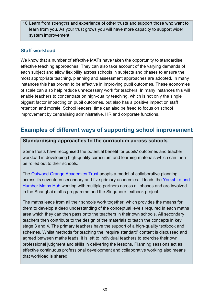10.Learn from strengths and experience of other trusts and support those who want to learn from you. As your trust grows you will have more capacity to support wider system improvement.

#### <span id="page-29-0"></span>**Staff workload**

We know that a number of effective MATs have taken the opportunity to standardise effective teaching approaches. They can also take account of the varying demands of each subject and allow flexibility across schools in subjects and phases to ensure the most appropriate teaching, planning and assessment approaches are adopted. In many instances this has proven to be effective in improving pupil outcomes. These economies of scale can also help reduce unnecessary work for teachers. In many instances this will enable teachers to concentrate on high-quality teaching, which is not only the single biggest factor impacting on pupil outcomes, but also has a positive impact on staff retention and morale. School leaders' time can also be freed to focus on school improvement by centralising administrative, HR and corporate functions.

## <span id="page-29-1"></span>**Examples of different ways of supporting school improvement**

#### **Standardising approaches to the curriculum across schools**

Some trusts have recognised the potential benefit for pupils' outcomes and teacher workload in developing high-quality curriculum and learning materials which can then be rolled out to their schools.

The [Outwood Grange Academies Trust](http://www.outwood.com/) adopts a model of collaborative planning across its seventeen secondary and five primary academies. It leads the Yorkshire and [Humber Maths Hub](https://www.gov.uk/government/news/network-of-32-maths-hubs-across-england-aims-to-raise-standards) working with multiple partners across all phases and are involved in the Shanghai maths programme and the Singapore textbook project.

The maths leads from all their schools work together, which provides the means for them to develop a deep understanding of the conceptual levels required in each maths area which they can then pass onto the teachers in their own schools. All secondary teachers then contribute to the design of the materials to teach the concepts in key stage 3 and 4. The primary teachers have the support of a high-quality textbook and schemes. Whilst methods for teaching the 'require standard' content is discussed and agreed between maths leads, it is left to individual teachers to exercise their own professional judgment and skills in delivering the lessons. Planning sessions act as effective continuous professional development and collaborative working also means that workload is shared.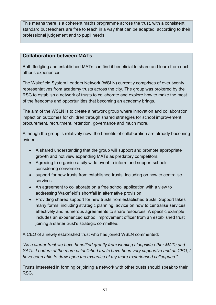This means there is a coherent maths programme across the trust, with a consistent standard but teachers are free to teach in a way that can be adapted, according to their professional judgement and to pupil needs.

#### **Collaboration between MATs**

Both fledgling and established MATs can find it beneficial to share and learn from each other's experiences.

The Wakefield System Leaders Network (WSLN) currently comprises of over twenty representatives from academy trusts across the city. The group was brokered by the RSC to establish a network of trusts to collaborate and explore how to make the most of the freedoms and opportunities that becoming an academy brings.

The aim of the WSLN is to create a network group where innovation and collaboration impact on outcomes for children through shared strategies for school improvement, procurement, recruitment, retention, governance and much more.

Although the group is relatively new, the benefits of collaboration are already becoming evident:

- A shared understanding that the group will support and promote appropriate growth and not view expanding MATs as predatory competitors.
- Agreeing to organise a city wide event to inform and support schools considering conversion.
- support for new trusts from established trusts, including on how to centralise services.
- An agreement to collaborate on a free school application with a view to addressing Wakefield's shortfall in alternative provision.
- Providing shared support for new trusts from established trusts. Support takes many forms, including strategic planning, advice on how to centralise services effectively and numerous agreements to share resources. A specific example includes an experienced school improvement officer from an established trust joining a starter trust's strategic committee.

A CEO of a newly established trust who has joined WSLN commented:

*"As a starter trust we have benefited greatly from working alongside other MATs and SATs. Leaders of the more established trusts have been very supportive and as CEO, I have been able to draw upon the expertise of my more experienced colleagues."*

Trusts interested in forming or joining a network with other trusts should speak to their RSC.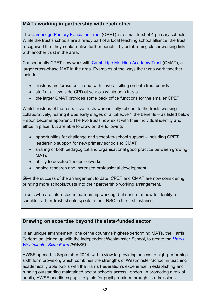#### **MATs working in partnership with each other**

The [Cambridge Primary Education Trust](http://www.google.co.uk/url?sa=t&rct=j&q=&esrc=s&source=web&cd=1&cad=rja&uact=8&ved=0ahUKEwivt8vctf3OAhVoLcAKHUMYCOkQFgglMAA&url=http%3A%2F%2Fwww.cpetrust.co.uk%2F&usg=AFQjCNE4gpdgQerK1RYK_htU1V1XbF2SUA) (CPET) is a small trust of 4 primary schools. While the trust's schools are already part of a local teaching school alliance, the trust recognised that they could realise further benefits by establishing closer working links with another trust in the area.

Consequently CPET now work with [Cambridge Meridian Academy Trust](http://www.google.co.uk/url?sa=t&rct=j&q=&esrc=s&source=web&cd=1&cad=rja&uact=8&sqi=2&ved=0ahUKEwi0pZbptf3OAhVMDcAKHYChDfgQFggjMAA&url=http%3A%2F%2Fwww.cmatrust.co.uk%2F&usg=AFQjCNFzS8kUw7FpRhUdYA6WhI3dYLD1XA&bvm=bv.131783435,d.ZGg) (CMAT), a larger cross-phase MAT in the area. Examples of the ways the trusts work together include:

- trustees are 'cross-pollinated' with several sitting on both trust boards
- staff at all levels do CPD at schools within both trusts
- the larger CMAT provides some back office functions for the smaller CPET

Whilst trustees of the respective trusts were initially reticent to the trusts working collaboratively, fearing it was early stages of a 'takeover', the benefits – as listed below – soon became apparent. The two trusts now exist with their individual identity and ethos in place, but are able to draw on the following:

- opportunities for challenge and school-to-school support including CPET leadership support for new primary schools to CMAT
- sharing of both pedagogical and organisational good practice between growing MATs
- ability to develop 'feeder networks'
- pooled research and increased professional development

Give the success of the arrangement to date, CPET and CMAT are now considering bringing more schools/trusts into their partnership working arrangement.

Trusts who are interested in partnership working, but unsure of how to identify a suitable partner trust, should speak to their RSC in the first instance.

#### **Drawing on expertise beyond the state-funded sector**

In an unique arrangement, one of the country's highest-performing MATs, the Harris Federation, joined up with the independent Westminster School, to create the *[Harris](http://www.harriswestminstersixthform.org.uk/) [Westminster Sixth Form](http://www.harriswestminstersixthform.org.uk/) (HWSF).*

HWSF opened in September 2014, with a view to providing access to high-performing sixth form provision, which combines the strengths of Westminster School in teaching academically able pupils with the Harris Federation's experience in establishing and running outstanding maintained sector schools across London. In promoting a mix of pupils, HWSF prioritises pupils eligible for pupil premium through its admissions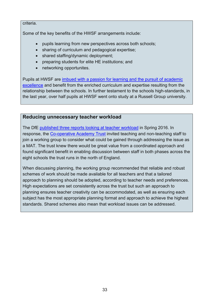#### criteria.

Some of the key benefits of the HWSF arrangements include:

- pupils learning from new perspectives across both schools;
- sharing of curriculum and pedagogical expertise;
- shared staffing/dynamic deployment;
- preparing students for elite HE institutions; and
- networking opportunites.

Pupils at HWSF are [imbued with a passion for learning and the pursuit of academic](https://reports.ofsted.gov.uk/inspection-reports/find-inspection-report/provider/ELS/140939)  [excellence](https://reports.ofsted.gov.uk/inspection-reports/find-inspection-report/provider/ELS/140939) and benefit from the enriched curriculum and expertise resulting from the relationship between the schools. In further testament to the schools high-standards, in the last year, over half pupils at HWSF went onto study at a Russell Group university.

#### **Reducing unnecessary teacher workload**

The DfE published three reports [looking at teacher workload](https://www.gov.uk/government/publications/reducing-teachers-workload/reducing-teachers-workload) in Spring 2016. In response, the [Co-operative Academy Trust](http://co-operative.academy/) invited teaching and non-teaching staff to join a working group to consider what could be gained through addressing the issue as a MAT. The trust knew there would be great value from a coordinated approach and found significant benefit in enabling discussion between staff in both phases across the eight schools the trust runs in the north of England.

When discussing planning, the working group recommended that reliable and robust schemes of work should be made available for all teachers and that a tailored approach to planning should be adopted, according to teacher needs and preferences. High expectations are set consistently across the trust but such an approach to planning ensures teacher creativity can be accommodated, as well as ensuring each subject has the most appropriate planning format and approach to achieve the highest standards. Shared schemes also mean that workload issues can be addressed.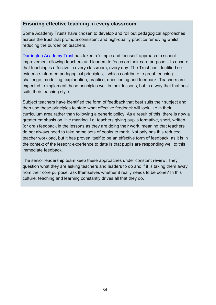#### **Ensuring effective teaching in every classroom**

Some Academy Trusts have chosen to develop and roll out pedagogical approaches across the trust that promote consistent and high-quality practice removing whilst reducing the burden on teachers.

[Durrington Academy Trust](http://dmat.education/) has taken a 'simple and focused' approach to school improvement allowing teachers and leaders to focus on their core purpose – to ensure that teaching is effective in every classroom, every day. The Trust has identified six evidence-informed pedagogical principles, - which contribute to great teaching: challenge, modelling, explanation, practice, questioning and feedback. Teachers are expected to implement these principles well in their lessons, but in a way that that best suits their teaching style.

Subject teachers have identified the form of feedback that best suits their subject and then use these principles to state what effective feedback will look like in their curriculum area rather than following a generic policy. As a result of this, there is now a greater emphasis on 'live marking' i.e. teachers giving pupils formative, short, written (or oral) feedback in the lessons as they are doing their work, meaning that teachers do not always need to take home sets of books to mark. Not only has this reduced teacher workload, but it has proven itself to be an effective form of feedback, as it is in the context of the lesson; experience to date is that pupils are responding well to this immediate feedback.

The senior leadership team keep these approaches under constant review. They question what they are asking teachers and leaders to do and if it is taking them away from their core purpose, ask themselves whether it really needs to be done? In this culture, teaching and learning constantly drives all that they do.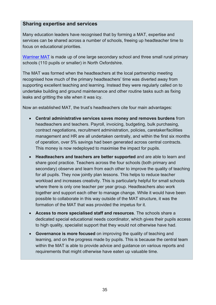#### **Sharing expertise and services**

Many education leaders have recognised that by forming a MAT, expertise and services can be shared across a number of schools, freeing up headteacher time to focus on educational priorities.

[Warriner MAT](http://www.warrinermultiacademytrust.co.uk/) is made up of one large secondary school and three small rural primary schools (110 pupils or smaller) in North Oxfordshire.

The MAT was formed when the headteachers at the local partnership meeting recognised how much of the primary headteachers' time was diverted away from supporting excellent teaching and learning. Instead they were regularly called on to undertake building and ground maintenance and other routine tasks such as fixing leaks and gritting the site when it was icy.

Now an established MAT, the trust's headteachers cite four main advantages:

- **Central administrative services saves money and removes burdens** from headteachers and teachers. Payroll, invoicing, budgeting, bulk purchasing, contract negotiations, recruitment administration, policies, caretaker/facilities management and HR are all undertaken centrally, and within the first six months of operation, over 5% savings had been generated across central contracts. This money is now redeployed to maximise the impact for pupils.
- **Headteachers and teachers are better supported** and are able to learn and share good practice. Teachers across the four schools (both primary and secondary) observe and learn from each other to improve the quality of teaching for all pupils. They now jointly plan lessons. This helps to reduce teacher workload and increases creativity. This is particularly helpful for small schools where there is only one teacher per year group. Headteachers also work together and support each other to manage change. While it would have been possible to collaborate in this way outside of the MAT structure, it was the formation of the MAT that was provided the impetus for it.
- **Access to more specialised staff and resources**. The schools share a dedicated special educational needs coordinator, which gives their pupils access to high quality, specialist support that they would not otherwise have had.
- **Governance is more focused** on improving the quality of teaching and learning, and on the progress made by pupils. This is because the central team within the MAT is able to provide advice and guidance on various reports and requirements that might otherwise have eaten up valuable time.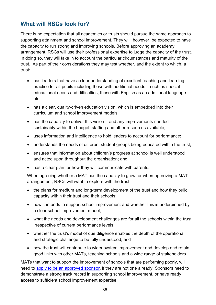## <span id="page-35-0"></span>**What will RSCs look for?**

There is no expectation that all academies or trusts should pursue the same approach to supporting attainment and school improvement. They will, however, be expected to have the capacity to run strong and improving schools. Before approving an academy arrangement, RSCs will use their professional expertise to judge the capacity of the trust. In doing so, they will take in to account the particular circumstances and maturity of the trust. As part of their considerations they may test whether, and the extent to which, a trust:

- has leaders that have a clear understanding of excellent teaching and learning practice for all pupils including those with additional needs – such as special educational needs and difficulties, those with English as an additional language etc.;
- has a clear, quality-driven education vision, which is embedded into their curriculum and school improvement models;
- has the capacity to deliver this vision and any improvements needed sustainably within the budget, staffing and other resources available;
- uses information and intelligence to hold leaders to account for performance;
- understands the needs of different student groups being educated within the trust;
- ensures that information about children's progress at school is well understood and acted upon throughout the organisation; and
- has a clear plan for how they will communicate with parents.

When agreeing whether a MAT has the capacity to grow, or when approving a MAT arrangement, RSCs will want to explore with the trust:

- the plans for medium and long-term development of the trust and how they build capacity within their trust and their schools;
- how it intends to support school improvement and whether this is underpinned by a clear school improvement model;
- what the needs and development challenges are for all the schools within the trust, irrespective of current performance levels;
- whether the trust's model of due diligence enables the depth of the operational and strategic challenge to be fully understood; and
- how the trust will contribute to wider system improvement and develop and retain good links with other MATs, teaching schools and a wide range of stakeholders.

MATs that want to support the improvement of schools that are performing poorly, will need to [apply to be an approved sponsor,](https://www.gov.uk/government/publications/academy-sponsor-application-form) if they are not one already. Sponsors need to demonstrate a strong track record in supporting school improvement, or have ready access to sufficient school improvement expertise.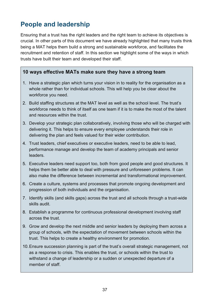# <span id="page-36-0"></span>**People and leadership**

Ensuring that a trust has the right leaders and the right team to achieve its objectives is crucial. In other parts of this document we have already highlighted that many trusts think being a MAT helps them build a strong and sustainable workforce, and facilitates the recruitment and retention of staff. In this section we highlight some of the ways in which trusts have built their team and developed their staff.

#### **10 ways effective MATs make sure they have a strong team**

- 1. Have a strategic plan which turns your vision in to reality for the organisation as a whole rather than for individual schools. This will help you be clear about the workforce you need.
- 2. Build staffing structures at the MAT level as well as the school level. The trust's workforce needs to think of itself as one team if it is to make the most of the talent and resources within the trust.
- 3. Develop your strategic plan collaboratively, involving those who will be charged with delivering it. This helps to ensure every employee understands their role in delivering the plan and feels valued for their wider contribution.
- 4. Trust leaders, chief executives or executive leaders, need to be able to lead, performance manage and develop the team of academy principals and senior leaders.
- 5. Executive leaders need support too, both from good people and good structures. It helps them be better able to deal with pressure and unforeseen problems. It can also make the difference between incremental and transformational improvement.
- 6. Create a culture, systems and processes that promote ongoing development and progression of both individuals and the organisation.
- 7. Identify skills (and skills gaps) across the trust and all schools through a trust-wide skills audit.
- 8. Establish a programme for continuous professional development involving staff across the trust.
- 9. Grow and develop the next middle and senior leaders by deploying them across a group of schools, with the expectation of movement between schools within the trust. This helps to create a healthy environment for promotion.
- 10.Ensure succession planning is part of the trust's overall strategic management, not as a response to crisis. This enables the trust, or schools within the trust to withstand a change of leadership or a sudden or unexpected departure of a member of staff.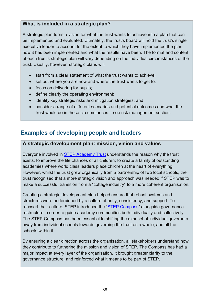#### **What is included in a strategic plan?**

A strategic plan turns a vision for what the trust wants to achieve into a plan that can be implemented and evaluated. Ultimately, the trust's board will hold the trust's single executive leader to account for the extent to which they have implemented the plan, how it has been implemented and what the results have been. The format and content of each trust's strategic plan will vary depending on the individual circumstances of the trust. Usually, however, strategic plans will:

- start from a clear statement of what the trust wants to achieve;
- set out where you are now and where the trust wants to get to;
- focus on delivering for pupils;
- define clearly the operating environment;
- identify key strategic risks and mitigation strategies; and
- consider a range of different scenarios and potential outcomes and what the trust would do in those circumstances – see risk management section.

## <span id="page-37-0"></span>**Examples of developing people and leaders**

#### **A strategic development plan: mission, vision and values**

Everyone involved in **STEP Academy Trust** understands the reason why the trust exists: to improve the life chances of all children; to create a family of outstanding academies where world class leaders place children at the heart of everything. However, whilst the trust grew organically from a partnership of two local schools, the trust recognised that a more strategic vision and approach was needed if STEP was to make a successful transition from a "cottage industry" to a more coherent organisation.

Creating a strategic development plan helped ensure that robust systems and structures were underpinned by a culture of unity, consistency, and support. To reassert their culture, STEP introduced the ["STEP Compass"](http://www.stepacademytrust.org/about-us/our-journey/) alongside governance restructure in order to guide academy communities both individually and collectively. The STEP Compass has been essential to shifting the mindset of individual governors away from individual schools towards governing the trust as a whole, and all the schools within it.

By ensuring a clear direction across the organisation, all stakeholders understand how they contribute to furthering the mission and vision of STEP. The Compass has had a major impact at every layer of the organisation. It brought greater clarity to the governance structure, and reinforced what it means to be part of STEP.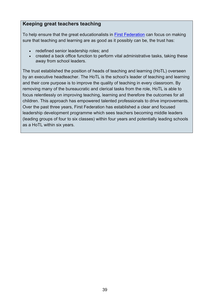#### **Keeping great teachers teaching**

To help ensure that the great educationalists in [First Federation](http://www.firstfederation.org/) can focus on making sure that teaching and learning are as good as it possibly can be, the trust has:

- redefined senior leadership roles; and
- created a back office function to perform vital administrative tasks, taking these away from school leaders.

The trust established the position of heads of teaching and learning (HoTL) overseen by an executive headteacher. The HoTL is the school's leader of teaching and learning and their core purpose is to improve the quality of teaching in every classroom. By removing many of the bureaucratic and clerical tasks from the role, HoTL is able to focus relentlessly on improving teaching, learning and therefore the outcomes for all children. This approach has empowered talented professionals to drive improvements. Over the past three years, First Federation has established a clear and focused leadership development programme which sees teachers becoming middle leaders (leading groups of four to six classes) within four years and potentially leading schools as a HoTL within six years.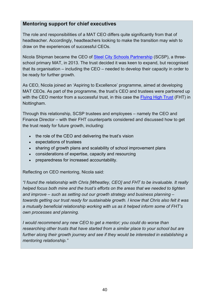#### **Mentoring support for chief executives**

The role and responsibilities of a MAT CEO differs quite significantly from that of headteacher. Accordingly, headteachers looking to make the transition may wish to draw on the experiences of successful CEOs.

Nicola Shipman became the CEO of [Steel City Schools Partnership](http://www.steel-city-schools-partnership.org/) (SCSP), a threeschool primary MAT, in 2013. The trust decided it was keen to expand, but recognised that its organisation – including the CEO – needed to develop their capacity in order to be ready for further growth.

As CEO, Nicola joined an 'Aspiring to Excellence' programme, aimed at developing MAT CEOs. As part of the programme, the trust's CEO and trustees were partnered up with the CEO mentor from a successful trust, in this case the [Flying High Trust](http://flyinghightrust.co.uk/) (FHT) in Nottingham.

Through this relationship, SCSP trustees and employees – namely the CEO and Finance Director – with their FHT counterparts considered and discussed how to get the trust ready for future growth, including:

- the role of the CEO and delivering the trust's vision
- expectations of trustees
- sharing of growth plans and scalability of school improvement plans
- considerations of expertise, capacity and resourcing
- preparedness for increased accountability.

Reflecting on CEO mentoring, Nicola said:

*"I found the relationship with Chris [Wheatley, CEO] and FHT to be invaluable. It really helped focus both mine and the trust's efforts on the areas that we needed to tighten and improve – such as setting out our growth strategy and business planning – towards getting our trust ready for sustainable growth. I know that Chris also felt it was a mutually beneficial relationship working with us as it helped inform some of FHT's own processes and planning.*

*I would recommend any new CEO to get a mentor; you could do worse than researching other trusts that have started from a similar place to your school but are further along their growth journey and see if they would be interested in establishing a mentoring relationship."*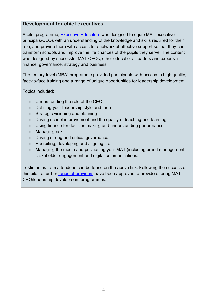#### **Development for chief executives**

A pilot programme, [Executive Educators](http://www.future-leaders.org.uk/programmes/executive-educators/) was designed to equip MAT executive principals/CEOs with an understanding of the knowledge and skills required for their role, and provide them with access to a network of effective support so that they can transform schools and improve the life chances of the pupils they serve. The content was designed by successful MAT CEOs, other educational leaders and experts in finance, governance, strategy and business.

The tertiary-level (MBA) programme provided participants with access to high quality, face-to-face training and a range of unique opportunities for leadership development.

Topics included:

- Understanding the role of the CEO
- Defining your leadership style and tone
- Strategic visioning and planning
- Driving school improvement and the quality of teaching and learning
- Using finance for decision making and understanding performance
- Managing risk
- Driving strong and critical governance
- Recruiting, developing and aligning staff
- Managing the media and positioning your MAT (including brand management, stakeholder engagement and digital communications.

Testimonies from attendees can be found on the above link. Following the success of this pilot, a further [range of providers](https://www.gov.uk/government/publications/expanding-your-academy-trust-resources-for-multi-academy-trusts/expanding-your-academy-trust-resources-for-multi-academy-trusts) have been approved to provide offering MAT CEO/leadership development programmes.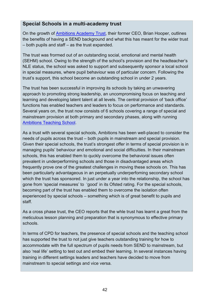#### **Special Schools in a multi-academy trust**

On the growth of [Ambitions Academy Trust,](http://www.ambitions-academies.co.uk/) their former CEO, Brian Hooper, outlines the benefits of having a SEND background and what this has meant for the wider trust – both pupils and staff – as the trust expanded.

The trust was frormed out of an outstanding social, emotional and mental health (SEHM) school. Owing to the strength of the school's provision and the headteacher's NLE status, the school was asked to support and subsequently sponsor a local school in special measures, where pupil behaviour was of particular concern. Following the trust's support, this school become an outstanding school in under 2 years.

The trust has been successful in improving its schools by taking an unwavering approach to promoting strong leadership, an uncompromising focus on teaching and learning and developing latent talent at all levels. The central provision of 'back office' functions has enabled teachers and leaders to focus on performance and standards. Several years on, the trust now consists of 6 schools covering a range of special and mainstream provision at both primary and secondary phases, along with running [Ambitions Teaching School.](http://www.ambitions-teachingschool.co.uk/)

As a trust with several special schools, Ambitions has been well-placed to consider the needs of pupils across the trust – both pupils in mainstream and special provision. Given their special schools, the trust's strongest offer in terms of special provision is in managing pupils' behaviour and emotional and social difficulties. In their mainstream schools, this has enabled them to quckly overcome the behavioral issues often prevalent in underperforming schools and those in disadvantaged areas which frequently prove one of the greatest challenges in moving these schools on. This has been particularly advantageous in an perpetually underperfoming secondary school which the trust has sponsored. In just under a year into the relationship, the school has gone from 'special measures' to 'good' in its Ofsted rating. For the special schools, becoming part of the trust has enabled them to overcome the isolation often experienced by special schools – something which is of great benefit to pupils and staff.

As a cross phase trust, the CEO reports that the whle trust has learnt a great from the meticulous lesson planning and preparation that is synonymous to effective primary schools.

In terms of CPD for teachers, the presence of special schools and the teaching school has supported the trust to not just give teachers outstanding training for how to accommodate with the full spectrum of pupils needs from SEND to mainstream, but also 'real life' setting to test out and embed their learning. In several instances having training in different settings leaders and teachers have decided to move from mainstream to special settings and vice versa.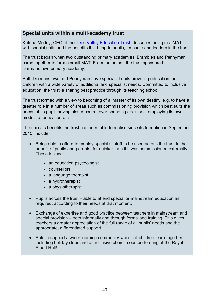#### **Special units within a multi-academy trust**

Katrina Morley, CEO of the [Tees Valley Education Trust,](http://www.teesvalleyeducation.co.uk/) describes being in a MAT with special units and the benefits this bring to pupils, teachers and leaders in the trust.

The trust began when two outstanding primary academies, Brambles and Pennyman came together to form a small MAT. From the outset, the trust sponsored Dormanstown primary academy.

Both Dormanstown and Pennyman have specialist units providing education for children with a wide variety of additional and specialist needs. Committed to inclusive education, the trust is sharing best practice through its teaching school.

The trust formed with a view to becoming of a 'master of its own destiny' e.g. to have a greater role in a number of areas such as commissioning provision which best suits the needs of its pupil, having closer control over spending decisions, employing its own models of education etc.

The specific benefits the trust has been able to realise since its formation in September 2015, include:

- Being able to afford to employ specialist staff to be used across the trust to the benefit of pupils and parents, far quicker than if it was commissioned externally. These include:
	- an education psychologist
	- counsellors
	- a language therapist
	- a hydrotherapist
	- a physiotherapist.
- Pupils across the trust able to attend special or mainstream education as required, according to their needs at that moment.
- Exchange of expertise and good practice between teachers in mainstream and special provision – both informally and through formalised training. This gives teachers a greater appreciation of the full range of all pupils' needs and the appropriate, differentiated support.
- Able to support a wider learning community where all children learn together including holiday clubs and an inclusive choir – soon performing at the Royal Albert Hall!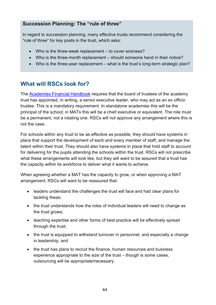#### **Succession Planning: The "rule of three"**

In regard to succession planning, many effective trusts recommend considering the "rule of three" for key posts in the trust, which asks:

- Who is the three-week replacement to cover sickness?
- Who is the three-month replacement should someone hand in their notice?
- Who is the three-year replacement what is the trust's long-term strategic plan?

## <span id="page-43-0"></span>**What will RSCs look for?**

The [Academies Financial Handbook](https://www.gov.uk/government/publications/academies-financial-handbook) requires that the board of trustees of the academy trust has appointed, in writing, a senior executive leader, who may act as an *ex officio* trustee. This is a mandatory requirement. In standalone academies this will be the principal of the school; in MATs this will be a chief executive or equivalent. The role must be a permanent, not a rotating one. RSCs will not approve any arrangement where this is not the case.

For schools within any trust to be as effective as possible, they should have systems in place that support the development of each and every member of staff, and manage the talent within their trust. They should also have systems in place that hold staff to account for delivering for the pupils attending the schools within the trust. RSCs will not prescribe what these arrangements will look like, but they will want to be assured that a trust has the capacity within its workforce to deliver what it wants to achieve.

When agreeing whether a MAT has the capacity to grow, or when approving a MAT arrangement, RSCs will want to be reassured that:

- leaders understand the challenges the trust will face and had clear plans for tackling these;
- the trust understands how the roles of individual leaders will need to change as the trust grows;
- teaching expertise and other forms of best practice will be effectively spread through the trust;
- the trust is equipped to withstand turnover in personnel, and especially a change in leadership; and
- the trust has plans to recruit the finance, human resources and business experience appropriate to the size of the trust – though is some cases, outsourcing will be appropriate/necessary.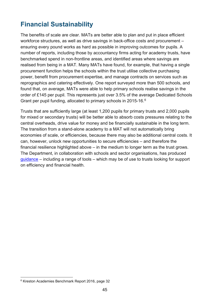# <span id="page-44-0"></span>**Financial Sustainability**

The benefits of scale are clear. MATs are better able to plan and put in place efficient workforce structures, as well as drive savings in back-office costs and procurement – ensuring every pound works as hard as possible in improving outcomes for pupils. A number of reports, including those by accountancy firms acting for academy trusts, have benchmarked spend in non-frontline areas, and identified areas where savings are realised from being in a MAT. Many MATs have found, for example, that having a single procurement function helps the schools within the trust utilise collective purchasing power, benefit from procurement expertise, and manage contracts on services such as reprographics and catering effectively. One report surveyed more than 500 schools, and found that, on average, MATs were able to help primary schools realise savings in the order of £145 per pupil. This represents just over 3.5% of the average Dedicated Schools Grant per pupil funding, allocated to primary schools in 2015-16.[6](#page-44-1)

Trusts that are sufficiently large (at least 1,200 pupils for primary trusts and 2,000 pupils for mixed or secondary trusts) will be better able to absorb costs pressures relating to the central overheads, drive value for money and be financially sustainable in the long term. The transition from a stand-alone academy to a MAT will not automatically bring economies of scale, or efficiencies, because there may also be additional central costs. It can, however, unlock new opportunities to secure efficiencies – and therefore the financial resilience highlighted above – in the medium to longer term as the trust grows. The Department, in collaboration with schools and sector organisations, has produced [guidance](https://www.gov.uk/government/collections/schools-financial-health-and-efficiency.) – including a range of tools – which may be of use to trusts looking for support on efficiency and financial health.

<span id="page-44-1"></span><sup>6</sup> Kreston Academies Benchmark Report 2016, page 32  $\overline{a}$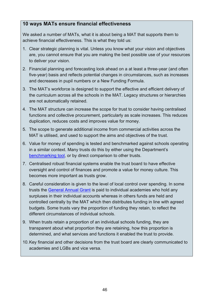#### **10 ways MATs ensure financial effectiveness**

We asked a number of MATs, what it is about being a MAT that supports them to achieve financial effectiveness. This is what they told us:

- 1. Clear strategic planning is vital. Unless you know what your vision and objectives are, you cannot ensure that you are making the best possible use of your resources to deliver your vision.
- 2. Financial planning and forecasting look ahead on a at least a three-year (and often five-year) basis and reflects potential changes in circumstances, such as increases and decreases in pupil numbers or a New Funding Formula.
- 3. The MAT's workforce is designed to support the effective and efficient delivery of the curriculum across all the schools in the MAT. Legacy structures or hierarchies are not automatically retained.
- 4. The MAT structure can increase the scope for trust to consider having centralised functions and collective procurement, particularly as scale increases. This reduces duplication, reduces costs and improves value for money.
- 5. The scope to generate additional income from commercial activities across the MAT is utilised, and used to support the aims and objectives of the trust.
- 6. Value for money of spending is tested and benchmarked against schools operating in a similar context. Many trusts do this by either using the Department's [benchmarking tool,](https://www.gov.uk/guidance/schools-financial-efficiency-financial-benchmarking) or by direct comparison to other trusts.
- 7. Centralised robust financial systems enable the trust board to have effective oversight and control of finances and promote a value for money culture. This becomes more important as trusts grow.
- 8. Careful consideration is given to the level of local control over spending. In some trusts the [General Annual Grant](https://www.gov.uk/guidance/academies-funding-a-to-z-of-terms%23g) is paid to individual academies who hold any surpluses in their individual accounts whereas in others funds are held and controlled centrally by the MAT which then distributes funding in line with agreed budgets. Some trusts vary the proportion of funding they retain, to reflect the different circumstances of individual schools.
- 9. When trusts retain a proportion of an individual schools funding, they are transparent about what proportion they are retaining, how this proportion is determined, and what services and functions it enabled the trust to provide.
- 10.Key financial and other decisions from the trust board are clearly communicated to academies and LGBs and vice versa.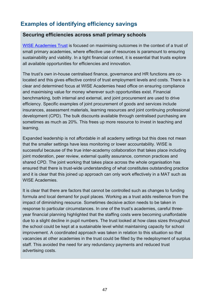## <span id="page-46-0"></span>**Examples of identifying efficiency savings**

#### **Securing efficiencies across small primary schools**

[WISE Academies Trust](http://www.wiseacademies.co.uk/) is focused on maximising outcomes in the context of a trust of small primary academies, where effective use of resources is paramount to ensuring sustainability and viability. In a tight financial context, it is essential that trusts explore all available opportunities for efficiencies and innovation.

The trust's own in-house centralised finance, governance and HR functions are colocated and this gives effective control of trust employment levels and costs. There is a clear and determined focus at WISE Academies head office on ensuring compliance and maximising value for money wherever such opportunities exist. Financial benchmarking, both internal and external, and joint procurement are used to drive efficiency. Specific examples of joint procurement of goods and services include insurances, assessment materials, learning resources and joint continuing professional development (CPD). The bulk discounts available through centralised purchasing are sometimes as much as 20%. This frees up more resource to invest in teaching and learning.

Expanded leadership is not affordable in all academy settings but this does not mean that the smaller settings have less monitoring or lower accountability. WISE is successful because of the true inter-academy collaboration that takes place including joint moderation, peer review, external quality assurance, common practices and shared CPD. The joint working that takes place across the whole organisation has ensured that there is trust-wide understanding of what constitutes outstanding practice and it is clear that this joined up approach can only work effectively in a MAT such as WISE Academies.

It is clear that there are factors that cannot be controlled such as changes to funding formula and local demand for pupil places. Working as a trust adds resilience from the impact of diminishing resource. Sometimes decisive action needs to be taken in response to particular circumstances. In one of the trust's academies, careful threeyear financial planning highlighted that the staffing costs were becoming unaffordable due to a slight decline in pupil numbers. The trust looked at how class sizes throughout the school could be kept at a sustainable level whilst maintaining capacity for school improvement. A coordinated approach was taken in relation to this situation so that vacancies at other academies in the trust could be filled by the redeployment of surplus staff. This avoided the need for any redundancy payments and reduced trust advertising costs.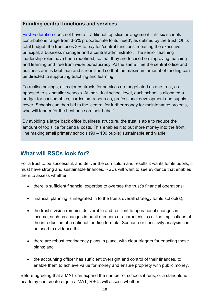#### **Funding central functions and services**

[First Federation](http://www.firstfederation.org/) does not have a 'traditional top slice arrangement – its six schools contributions range from 3-5% proportionate to its 'need', as defined by the trust. Of its total budget, the trust uses 3% to pay for 'central functions' meaning the executive principal, a business manager and a central administrator. The senior teaching leadership roles have been redefined, so that they are focused on improving teaching and learning and free from wider bureaucracy. At the same time the central office and business arm is kept lean and streamlined so that the maximum amount of funding can be directed to supporting teaching and learning.

To realise savings, all major contracts for services are negotiated as one trust, as opposed to six smaller schools. At individual school level, each school is allocated a budget for consumables, curriculum resources, professional development and supply cover. Schools can then bid to the 'centre' for further money for maintenance projects, who will tender for the best price on their behalf.

By avoiding a large back office business structure, the trust is able to reduce the amount of top slice for central costs. This enables it to put more money into the front line making small primary schools (90 – 100 pupils) sustainable and viable.

## <span id="page-47-0"></span>**What will RSCs look for?**

For a trust to be successful, and deliver the curriculum and results it wants for its pupils, it must have strong and sustainable finances. RSCs will want to see evidence that enables them to assess whether:

- there is sufficient financial expertise to oversee the trust's financial operations;
- financial planning is integrated in to the trusts overall strategy for its school(s);
- the trust's vision remains deliverable and resilient to operational changes in income, such as changes in pupil numbers or characteristics or the implications of the introduction of a national funding formula. Scenario or sensitivity analysis can be used to evidence this;
- there are robust contingency plans in place, with clear triggers for enacting these plans; and
- the accounting officer has sufficient oversight and control of their finances, to enable them to achieve value for money and ensure propriety with public money.

Before agreeing that a MAT can expand the number of schools it runs, or a standalone academy can create or join a MAT, RSCs will assess whether: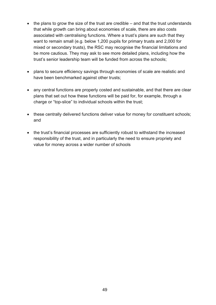- the plans to grow the size of the trust are credible and that the trust understands that while growth can bring about economies of scale, there are also costs associated with centralising functions. Where a trust's plans are such that they want to remain small (e.g. below 1,200 pupils for primary trusts and 2,000 for mixed or secondary trusts), the RSC may recognise the financial limitations and be more cautious. They may ask to see more detailed plans, including how the trust's senior leadership team will be funded from across the schools;
- plans to secure efficiency savings through economies of scale are realistic and have been benchmarked against other trusts;
- any central functions are properly costed and sustainable, and that there are clear plans that set out how these functions will be paid for, for example, through a charge or "top-slice" to individual schools within the trust;
- these centrally delivered functions deliver value for money for constituent schools; and
- the trust's financial processes are sufficiently robust to withstand the increased responsibility of the trust, and in particularly the need to ensure propriety and value for money across a wider number of schools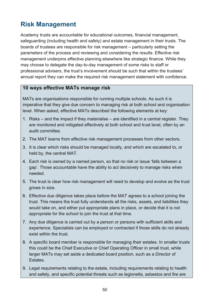# <span id="page-49-0"></span>**Risk Management**

Academy trusts are accountable for educational outcomes, financial management, safeguarding (including health and safety) and estate management in their trusts. The boards of trustees are responsible for risk management – particularly setting the parameters of the process and reviewing and considering the results. Effective risk management underpins effective planning elsewhere like strategic finance. While they may choose to delegate the day-to-day management of some risks to staff or professional advisers, the trust's involvement should be such that within the trustees' annual report they can make the required risk management statement with confidence.

#### **10 ways effective MATs manage risk**

MATs are organisations responsible for running multiple schools. As such it is imperative that they give due concern to managing risk at both school and organisation level. When asked, effective MATs described the following elements at key:

- 1. Risks and the impact if they materialise are identified in a central register. They are monitored and mitigated effectively at both school and trust level, often by an audit committee.
- 2. The MAT learns from effective risk management processes from other sectors.
- 3. It is clear which risks should be managed locally, and which are escalated to, or held by, the central MAT.
- 4. Each risk is owned by a named person, so that no risk or issue 'falls between a gap'. Those accountable have the ability to act decisively to manage risks when needed.
- 5. The trust is clear how risk management will need to develop and evolve as the trust grows in size.
- 6. Effective due diligence takes place before the MAT agrees to a school joining the trust. This means the trust fully understands all the risks, assets, and liabilities they would take on, and either put appropriate plans in place, or decide that it is not appropriate for the school to join the trust at that time.
- 7. Any due diligence is carried out by a person or persons with sufficient skills and experience. Specialists can be employed or contracted if those skills do not already exist within the trust.
- 8. A specific board member is responsible for managing their estates. In smaller trusts this could be the Chief Executive or Chief Operating Officer in small trust, while larger MATs may set aside a dedicated board position, such as a Director of Estates.
- 9. Legal requirements relating to the estate, including requirements relating to health and safety, and specific potential threats such as legionella, asbestos and fire are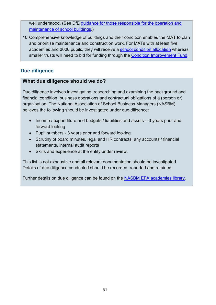well understood. (See DfE quidance for those responsible for the operation and [maintenance of school buildings.](https://www.gov.uk/guidance/essential-school-maintenance-a-guide-for-schools))

10.Comprehensive knowledge of buildings and their condition enables the MAT to plan and prioritise maintenance and construction work. For MATs with at least five academies and 3000 pupils, they will receive a [school condition allocation](https://www.gov.uk/government/publications/capital-allocations) whereas smaller trusts will need to bid for funding through the [Condition Improvement Fund.](https://www.gov.uk/government/uploads/system/uploads/attachment_data/file/470057/CIF_information_for_applicants_2015_to_2016.pdf)

#### <span id="page-50-0"></span>**Due diligence**

#### **What due diligence should we do?**

Due diligence involves investigating, researching and examining the background and financial condition, business operations and contractual obligations of a (person or) organisation. The National Association of School Business Managers (NASBM) believes the following should be investigated under due diligence:

- Income / expenditure and budgets / liabilities and assets 3 years prior and forward looking
- Pupil numbers 3 years prior and forward looking
- Scrutiny of board minutes, legal and HR contracts, any accounts / financial statements, internal audit reports
- Skills and experience at the entity under review.

This list is not exhaustive and all relevant documentation should be investigated. Details of due diligence conducted should be recorded, reported and retained.

Further details on due diligence can be found on the **NASBM EFA academies library**.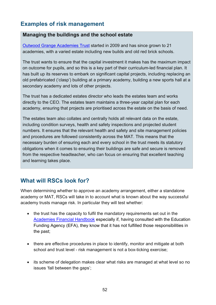## <span id="page-51-0"></span>**Examples of risk management**

#### **Managing the buildings and the school estate**

[Outwood Grange Academies Trust](http://www.outwood.com/) started in 2009 and has since grown to 21 academies, with a varied estate including new builds and old red brick schools.

The trust wants to ensure that the capital investment it makes has the maximum impact on outcome for pupils, and so this is a key part of their curriculum-led financial plan. It has built up its reserves to embark on significant capital projects, including replacing an old prefabricated ('clasp') building at a primary academy, building a new sports hall at a secondary academy and lots of other projects.

The trust has a dedicated estates director who leads the estates team and works directly to the CEO. The estates team maintains a three-year capital plan for each academy, ensuring that projects are prioritised across the estate on the basis of need.

The estates team also collates and centrally holds all relevant data on the estate, including condition surveys, health and safety inspections and projected student numbers. It ensures that the relevant health and safety and site management policies and procedures are followed consistently across the MAT. This means that the necessary burden of ensuring each and every school in the trust meets its statutory obligations when it comes to ensuring their buildings are safe and secure is removed from the respective headteacher, who can focus on ensuring that excellent teaching and learning takes place.

## <span id="page-51-1"></span>**What will RSCs look for?**

When determining whether to approve an academy arrangement, either a standalone academy or MAT, RSCs will take in to account what is known about the way successful academy trusts manage risk. In particular they will test whether:

- the trust has the capacity to fulfil the mandatory requirements set out in the [Academies Financial Handbook](https://www.gov.uk/government/publications/academies-financial-handbook) especially if, having consulted with the Education Funding Agency (EFA), they know that it has not fulfilled those responsibilities in the past;
- there are effective procedures in place to identify, monitor and mitigate at both school and trust level - risk management is not a box-ticking exercise;
- its scheme of delegation makes clear what risks are managed at what level so no issues 'fall between the gaps';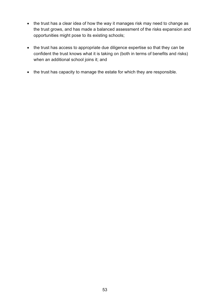- the trust has a clear idea of how the way it manages risk may need to change as the trust grows, and has made a balanced assessment of the risks expansion and opportunities might pose to its existing schools;
- the trust has access to appropriate due diligence expertise so that they can be confident the trust knows what it is taking on (both in terms of benefits and risks) when an additional school joins it; and
- the trust has capacity to manage the estate for which they are responsible.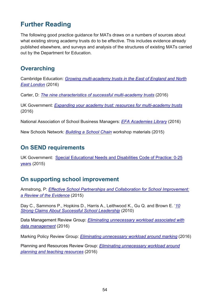# <span id="page-53-0"></span>**Further Reading**

The following good practice guidance for MATs draws on a numbers of sources about what existing strong academy trusts do to be effective. This includes evidence already published elsewhere, and surveys and analysis of the structures of existing MATs carried out by the Department for Education.

## <span id="page-53-1"></span>**Overarching**

Cambridge Education: *[Growing multi-academy trusts in the East of England and North](https://www.camb-ed.co.uk/Portals/0/Documents/CE%20Growing%20MATs%20-%20Suggestions%20for%20ambitious%20Trusts%20(final%20published).pdf)  [East London](https://www.camb-ed.co.uk/Portals/0/Documents/CE%20Growing%20MATs%20-%20Suggestions%20for%20ambitious%20Trusts%20(final%20published).pdf)* (2016)

Carter, D: *[The nine characteristics of successful multi-academy trusts](http://www.newschoolsnetwork.org/sites/default/files/Characteristics%20of%20Successful%20MATs.pdf)* (2016)

UK Government: *[Expanding your academy trust: resources for multi-academy trusts](https://www.gov.uk/government/publications/expanding-your-academy-trust-resources-for-multi-academy-trusts/expanding-your-academy-trust-resources-for-multi-academy-trusts)* (2016)

National Association of School Business Managers: *[EFA Academies Library](http://www.nasbm.co.uk/Home/EfA-Academies-Library.aspx)* (2016)

New Schools Network: *[Building a School Chain](http://www.newschoolsnetwork.org/academy-resource-hub/resources/building-a-school-chain-workshop-materials)* workshop materials (2015)

## <span id="page-53-2"></span>**On SEND requirements**

UK Government: [Special Educational Needs and Disabilities Code of Practice: 0-25](https://www.gov.uk/government/uploads/system/uploads/attachment_data/file/398815/SEND_Code_of_Practice_January_2015.pdf)  [years](https://www.gov.uk/government/uploads/system/uploads/attachment_data/file/398815/SEND_Code_of_Practice_January_2015.pdf) (2015)

## <span id="page-53-3"></span>**On supporting school improvement**

Armstrong, P: *[Effective School Partnerships and Collaboration for School Improvement:](https://www.gov.uk/government/uploads/system/uploads/attachment_data/file/467855/DFE-RR466_-_School_improvement_effective_school_partnerships.pdf)  [a Review of the Evidence](https://www.gov.uk/government/uploads/system/uploads/attachment_data/file/467855/DFE-RR466_-_School_improvement_effective_school_partnerships.pdf)* (2015)

Day C., Sammons P., Hopkins D., Harris A., Leithwood K., Gu Q. and Brown E. '*[10](https://www.gov.uk/government/uploads/system/uploads/attachment_data/file/327938/10-strong-claims-about-successful-school-leadership.pdf)  [Strong Claims About Successful School Leadership](https://www.gov.uk/government/uploads/system/uploads/attachment_data/file/327938/10-strong-claims-about-successful-school-leadership.pdf)* (2010)

Data Management Review Group: *[Eliminating unnecessary workload associated with](https://www.gov.uk/government/uploads/system/uploads/attachment_data/file/511258/Eliminating-unnecessary-workload-associated-with-data-management.pdf)  [data management](https://www.gov.uk/government/uploads/system/uploads/attachment_data/file/511258/Eliminating-unnecessary-workload-associated-with-data-management.pdf)* (2016)

Marking Policy Review Group: *[Eliminating unnecessary workload around marking](https://www.gov.uk/government/publications/reducing-teacher-workload-marking-policy-review-group-report)* (2016)

Planning and Resources Review Group: *[Eliminating unnecessary workload around](https://www.gov.uk/government/publications/reducing-teacher-workload-planning-and-resources-group-report)  [planning and teaching resources](https://www.gov.uk/government/publications/reducing-teacher-workload-planning-and-resources-group-report)* (2016)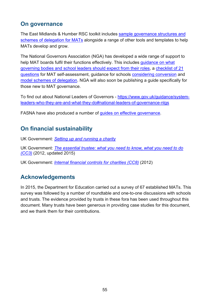## <span id="page-54-0"></span>**On governance**

The East Midlands & Humber RSC toolkit includes [sample governance structures and](http://www.woldsteachingalliance.org.uk/3-mat-structures-governance/)  [schemes of delegation for MATs](http://www.woldsteachingalliance.org.uk/3-mat-structures-governance/) alongside a range of other tools and templates to help MATs develop and grow.

The National Governors Association (NGA) has developed a wide range of support to help MAT boards fulfil their functions effectively. This includes [guidance on what](http://www.nga.org.uk/News/NGA-News/Pre-2016/What-governors-and-school-leaders-should-expect.aspx)  [governing bodies and school leaders should expect from their roles,](http://www.nga.org.uk/News/NGA-News/Pre-2016/What-governors-and-school-leaders-should-expect.aspx) a [checklist of 21](http://www.newschoolsnetwork.org/academy-resource-hub/resources/twenty-one-questions-for-multi-academy-trusts)  [questions](http://www.newschoolsnetwork.org/academy-resource-hub/resources/twenty-one-questions-for-multi-academy-trusts) for MAT self-assessment, guidance for schools considering conversion and [model schemes of delegation.](http://www.nga.org.uk/Guidance/School-structures-and-constitution/Academies-and-free-schools/New-Model-Schemes-of-Delegation.aspx) NGA will also soon be publishing a guide specifically for those new to MAT governance.

To find out about National Leaders of Governors - https://www.gov.uk/guidance/systemleaders-who-they-are-and-what-they-do#national-leaders-of-governance-nlgs

FASNA have also produced a number of [guides on effective governance.](http://www.fasna.org.uk/academy_magazine/fasna_guides)

## <span id="page-54-1"></span>**On financial sustainability**

UK Government: *[Setting up and running a charity](https://www.gov.uk/topic/running-charity)*

UK Government: *[The essential trustee: what you need to know, what you need to do](https://www.gov.uk/government/publications/the-essential-trustee-what-you-need-to-know-cc3)  [\(CC3\)](https://www.gov.uk/government/publications/the-essential-trustee-what-you-need-to-know-cc3)* (2012, updated 2015)

UK Government: *[Internal financial controls for charities \(CC8\)](https://www.gov.uk/government/publications/internal-financial-controls-for-charities-cc8)* (2012)

## <span id="page-54-2"></span>**Acknowledgements**

In 2015, the Department for Education carried out a survey of 67 established MATs. This survey was followed by a number of roundtable and one-to-one discussions with schools and trusts. The evidence provided by trusts in these fora has been used throughout this document. Many trusts have been generous in providing case studies for this document, and we thank them for their contributions.